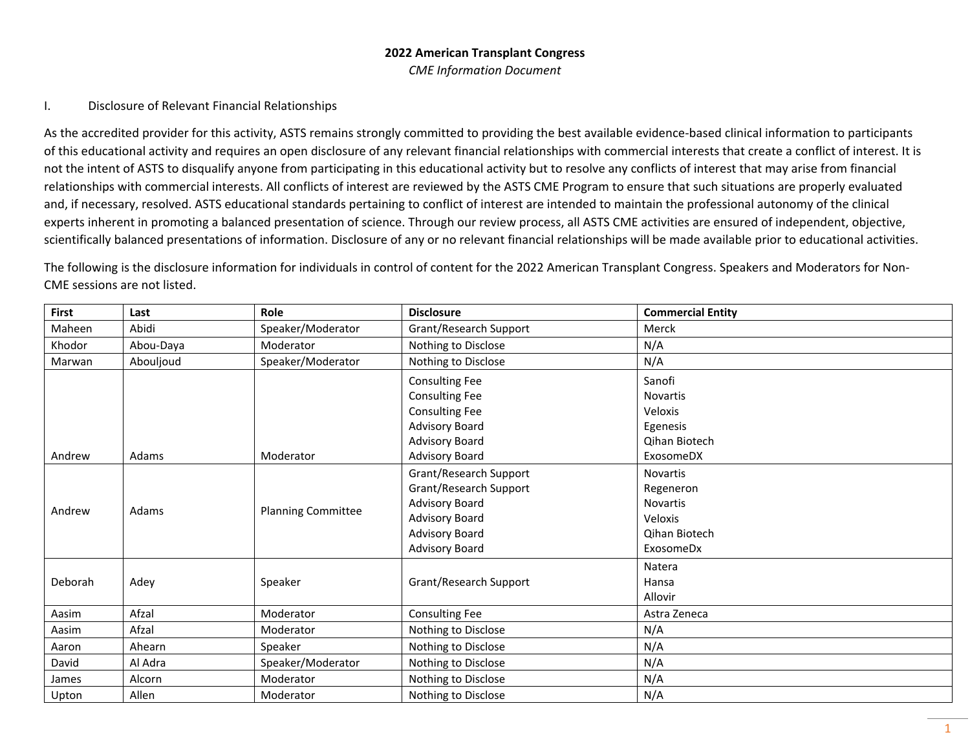## **2022 American Transplant Congress** *CME Information Document*

## I. Disclosure of Relevant Financial Relationships

As the accredited provider for this activity, ASTS remains strongly committed to providing the best available evidence-based clinical information to participants of this educational activity and requires an open disclosure of any relevant financial relationships with commercial interests that create a conflict of interest. It is not the intent of ASTS to disqualify anyone from participating in this educational activity but to resolve any conflicts of interest that may arise from financial relationships with commercial interests. All conflicts of interest are reviewed by the ASTS CME Program to ensure that such situations are properly evaluated and, if necessary, resolved. ASTS educational standards pertaining to conflict of interest are intended to maintain the professional autonomy of the clinical experts inherent in promoting a balanced presentation of science. Through our review process, all ASTS CME activities are ensured of independent, objective, scientifically balanced presentations of information. Disclosure of any or no relevant financial relationships will be made available prior to educational activities.

The following is the disclosure information for individuals in control of content for the 2022 American Transplant Congress. Speakers and Moderators for Non-CME sessions are not listed.

| First   | Last      | Role                      | <b>Disclosure</b>      | <b>Commercial Entity</b> |
|---------|-----------|---------------------------|------------------------|--------------------------|
| Maheen  | Abidi     | Speaker/Moderator         | Grant/Research Support | Merck                    |
| Khodor  | Abou-Daya | Moderator                 | Nothing to Disclose    | N/A                      |
| Marwan  | Abouljoud | Speaker/Moderator         | Nothing to Disclose    | N/A                      |
|         |           |                           | <b>Consulting Fee</b>  | Sanofi                   |
|         |           |                           | <b>Consulting Fee</b>  | Novartis                 |
|         |           |                           | <b>Consulting Fee</b>  | Veloxis                  |
|         |           |                           | <b>Advisory Board</b>  | Egenesis                 |
|         |           |                           | <b>Advisory Board</b>  | Qihan Biotech            |
| Andrew  | Adams     | Moderator                 | <b>Advisory Board</b>  | ExosomeDX                |
|         |           |                           | Grant/Research Support | Novartis                 |
|         |           |                           | Grant/Research Support | Regeneron                |
|         |           |                           | <b>Advisory Board</b>  | <b>Novartis</b>          |
| Andrew  | Adams     | <b>Planning Committee</b> | <b>Advisory Board</b>  | Veloxis                  |
|         |           |                           | <b>Advisory Board</b>  | <b>Qihan Biotech</b>     |
|         |           |                           | <b>Advisory Board</b>  | ExosomeDx                |
|         |           |                           |                        | Natera                   |
| Deborah | Adey      | Speaker                   | Grant/Research Support | Hansa                    |
|         |           |                           |                        | Allovir                  |
| Aasim   | Afzal     | Moderator                 | <b>Consulting Fee</b>  | Astra Zeneca             |
| Aasim   | Afzal     | Moderator                 | Nothing to Disclose    | N/A                      |
| Aaron   | Ahearn    | Speaker                   | Nothing to Disclose    | N/A                      |
| David   | Al Adra   | Speaker/Moderator         | Nothing to Disclose    | N/A                      |
| James   | Alcorn    | Moderator                 | Nothing to Disclose    | N/A                      |
| Upton   | Allen     | Moderator                 | Nothing to Disclose    | N/A                      |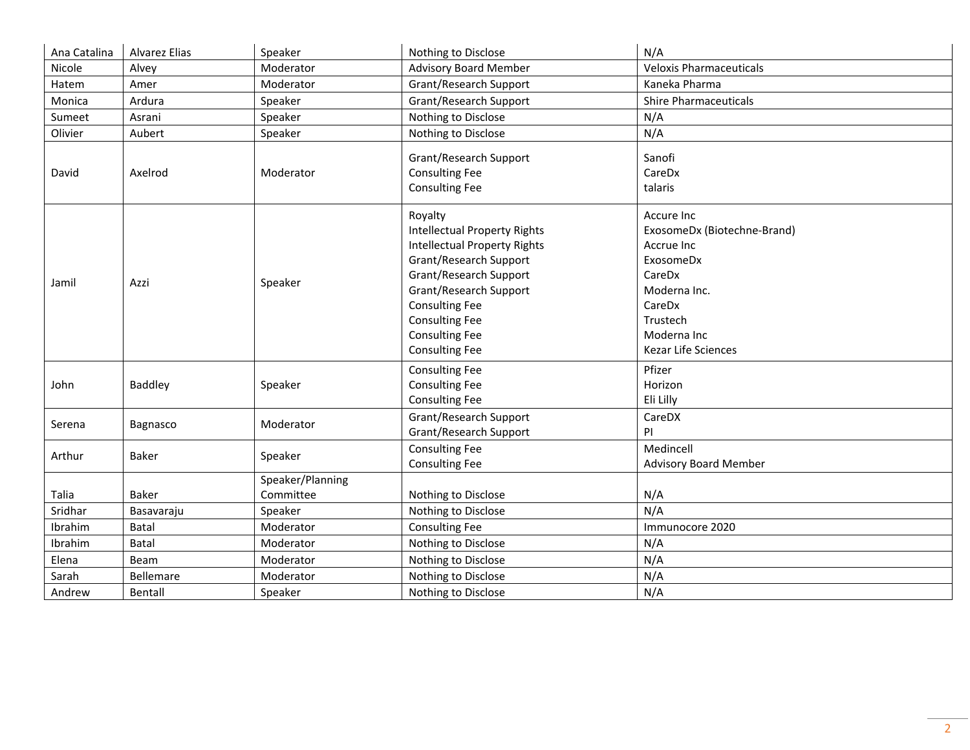| Ana Catalina | Alvarez Elias | Speaker          | Nothing to Disclose                                                                                                                                                                                                                                                     | N/A                                                                                                                                                        |
|--------------|---------------|------------------|-------------------------------------------------------------------------------------------------------------------------------------------------------------------------------------------------------------------------------------------------------------------------|------------------------------------------------------------------------------------------------------------------------------------------------------------|
| Nicole       | Alvey         | Moderator        | <b>Advisory Board Member</b>                                                                                                                                                                                                                                            | <b>Veloxis Pharmaceuticals</b>                                                                                                                             |
| Hatem        | Amer          | Moderator        | Grant/Research Support                                                                                                                                                                                                                                                  | Kaneka Pharma                                                                                                                                              |
| Monica       | Ardura        | Speaker          | Grant/Research Support                                                                                                                                                                                                                                                  | <b>Shire Pharmaceuticals</b>                                                                                                                               |
| Sumeet       | Asrani        | Speaker          | Nothing to Disclose                                                                                                                                                                                                                                                     | N/A                                                                                                                                                        |
| Olivier      | Aubert        | Speaker          | Nothing to Disclose                                                                                                                                                                                                                                                     | N/A                                                                                                                                                        |
| David        | Axelrod       | Moderator        | Grant/Research Support<br><b>Consulting Fee</b><br><b>Consulting Fee</b>                                                                                                                                                                                                | Sanofi<br>CareDx<br>talaris                                                                                                                                |
| Jamil        | Azzi          | Speaker          | Royalty<br><b>Intellectual Property Rights</b><br><b>Intellectual Property Rights</b><br>Grant/Research Support<br>Grant/Research Support<br>Grant/Research Support<br><b>Consulting Fee</b><br><b>Consulting Fee</b><br><b>Consulting Fee</b><br><b>Consulting Fee</b> | Accure Inc<br>ExosomeDx (Biotechne-Brand)<br>Accrue Inc<br>ExosomeDx<br>CareDx<br>Moderna Inc.<br>CareDx<br>Trustech<br>Moderna Inc<br>Kezar Life Sciences |
| John         | Baddley       | Speaker          | <b>Consulting Fee</b><br><b>Consulting Fee</b><br><b>Consulting Fee</b>                                                                                                                                                                                                 | Pfizer<br>Horizon<br>Eli Lilly                                                                                                                             |
| Serena       | Bagnasco      | Moderator        | Grant/Research Support<br>Grant/Research Support                                                                                                                                                                                                                        | CareDX<br>PI                                                                                                                                               |
| Arthur       | Baker         | Speaker          | <b>Consulting Fee</b><br><b>Consulting Fee</b>                                                                                                                                                                                                                          | Medincell<br><b>Advisory Board Member</b>                                                                                                                  |
|              |               | Speaker/Planning |                                                                                                                                                                                                                                                                         |                                                                                                                                                            |
| Talia        | Baker         | Committee        | Nothing to Disclose                                                                                                                                                                                                                                                     | N/A                                                                                                                                                        |
| Sridhar      | Basavaraju    | Speaker          | Nothing to Disclose                                                                                                                                                                                                                                                     | N/A                                                                                                                                                        |
| Ibrahim      | Batal         | Moderator        | <b>Consulting Fee</b>                                                                                                                                                                                                                                                   | Immunocore 2020                                                                                                                                            |
| Ibrahim      | Batal         | Moderator        | Nothing to Disclose                                                                                                                                                                                                                                                     | N/A                                                                                                                                                        |
| Elena        | Beam          | Moderator        | Nothing to Disclose                                                                                                                                                                                                                                                     | N/A                                                                                                                                                        |
| Sarah        | Bellemare     | Moderator        | Nothing to Disclose                                                                                                                                                                                                                                                     | N/A                                                                                                                                                        |
| Andrew       | Bentall       | Speaker          | Nothing to Disclose                                                                                                                                                                                                                                                     | N/A                                                                                                                                                        |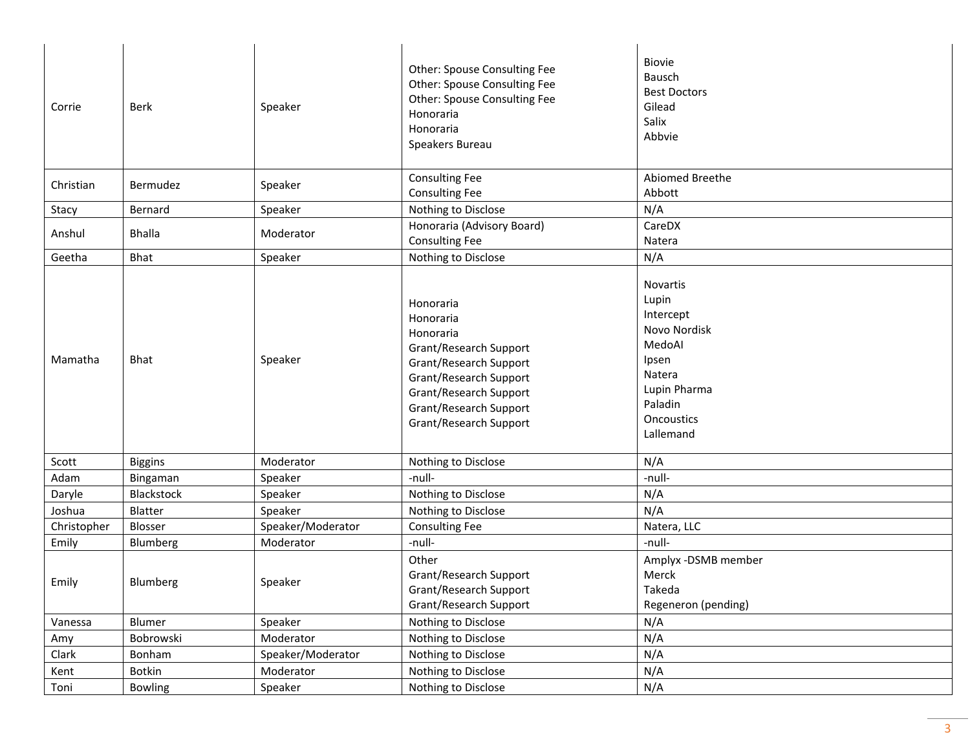| Corrie      | <b>Berk</b>    | Speaker           | Other: Spouse Consulting Fee<br>Other: Spouse Consulting Fee<br>Other: Spouse Consulting Fee<br>Honoraria<br>Honoraria<br>Speakers Bureau                                                       | <b>Biovie</b><br><b>Bausch</b><br><b>Best Doctors</b><br>Gilead<br>Salix<br>Abbvie                                                       |
|-------------|----------------|-------------------|-------------------------------------------------------------------------------------------------------------------------------------------------------------------------------------------------|------------------------------------------------------------------------------------------------------------------------------------------|
| Christian   | Bermudez       | Speaker           | <b>Consulting Fee</b><br><b>Consulting Fee</b>                                                                                                                                                  | Abiomed Breethe<br>Abbott                                                                                                                |
| Stacy       | Bernard        | Speaker           | Nothing to Disclose                                                                                                                                                                             | N/A                                                                                                                                      |
| Anshul      | <b>Bhalla</b>  | Moderator         | Honoraria (Advisory Board)<br><b>Consulting Fee</b>                                                                                                                                             | CareDX<br>Natera                                                                                                                         |
| Geetha      | <b>Bhat</b>    | Speaker           | Nothing to Disclose                                                                                                                                                                             | N/A                                                                                                                                      |
| Mamatha     | <b>Bhat</b>    | Speaker           | Honoraria<br>Honoraria<br>Honoraria<br>Grant/Research Support<br>Grant/Research Support<br>Grant/Research Support<br>Grant/Research Support<br>Grant/Research Support<br>Grant/Research Support | <b>Novartis</b><br>Lupin<br>Intercept<br>Novo Nordisk<br>MedoAl<br>Ipsen<br>Natera<br>Lupin Pharma<br>Paladin<br>Oncoustics<br>Lallemand |
| Scott       | <b>Biggins</b> | Moderator         | Nothing to Disclose                                                                                                                                                                             | N/A                                                                                                                                      |
| Adam        | Bingaman       | Speaker           | -null-                                                                                                                                                                                          | -null-                                                                                                                                   |
| Daryle      | Blackstock     | Speaker           | Nothing to Disclose                                                                                                                                                                             | N/A                                                                                                                                      |
| Joshua      | Blatter        | Speaker           | Nothing to Disclose                                                                                                                                                                             | N/A                                                                                                                                      |
| Christopher | Blosser        | Speaker/Moderator | <b>Consulting Fee</b>                                                                                                                                                                           | Natera, LLC                                                                                                                              |
| Emily       | Blumberg       | Moderator         | -null-                                                                                                                                                                                          | -null-                                                                                                                                   |
| Emily       | Blumberg       | Speaker           | Other<br>Grant/Research Support<br>Grant/Research Support<br>Grant/Research Support                                                                                                             | Amplyx -DSMB member<br>Merck<br>Takeda<br>Regeneron (pending)                                                                            |
| Vanessa     | Blumer         | Speaker           | Nothing to Disclose                                                                                                                                                                             | N/A                                                                                                                                      |
| Amy         | Bobrowski      | Moderator         | Nothing to Disclose                                                                                                                                                                             | N/A                                                                                                                                      |
| Clark       | Bonham         | Speaker/Moderator | Nothing to Disclose                                                                                                                                                                             | N/A                                                                                                                                      |
| Kent        | Botkin         | Moderator         | Nothing to Disclose                                                                                                                                                                             | N/A                                                                                                                                      |
| Toni        | <b>Bowling</b> | Speaker           | Nothing to Disclose                                                                                                                                                                             | N/A                                                                                                                                      |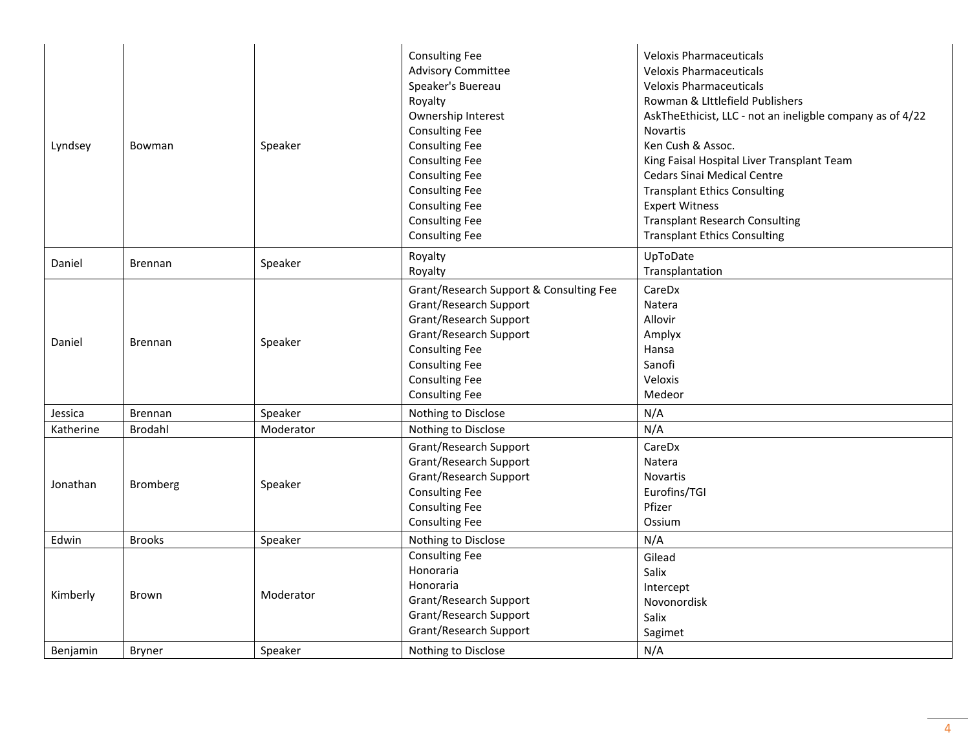| Lyndsey   | Bowman         | Speaker   | <b>Consulting Fee</b><br><b>Advisory Committee</b><br>Speaker's Buereau<br>Royalty<br>Ownership Interest<br><b>Consulting Fee</b><br><b>Consulting Fee</b><br><b>Consulting Fee</b><br><b>Consulting Fee</b><br><b>Consulting Fee</b><br><b>Consulting Fee</b><br><b>Consulting Fee</b><br><b>Consulting Fee</b> | <b>Veloxis Pharmaceuticals</b><br><b>Veloxis Pharmaceuticals</b><br><b>Veloxis Pharmaceuticals</b><br>Rowman & Littlefield Publishers<br>AskTheEthicist, LLC - not an ineligble company as of 4/22<br><b>Novartis</b><br>Ken Cush & Assoc.<br>King Faisal Hospital Liver Transplant Team<br><b>Cedars Sinai Medical Centre</b><br><b>Transplant Ethics Consulting</b><br><b>Expert Witness</b><br><b>Transplant Research Consulting</b><br><b>Transplant Ethics Consulting</b> |
|-----------|----------------|-----------|------------------------------------------------------------------------------------------------------------------------------------------------------------------------------------------------------------------------------------------------------------------------------------------------------------------|--------------------------------------------------------------------------------------------------------------------------------------------------------------------------------------------------------------------------------------------------------------------------------------------------------------------------------------------------------------------------------------------------------------------------------------------------------------------------------|
| Daniel    | <b>Brennan</b> | Speaker   | Royalty<br>Royalty                                                                                                                                                                                                                                                                                               | UpToDate<br>Transplantation                                                                                                                                                                                                                                                                                                                                                                                                                                                    |
| Daniel    | <b>Brennan</b> | Speaker   | Grant/Research Support & Consulting Fee<br>Grant/Research Support<br>Grant/Research Support<br>Grant/Research Support<br><b>Consulting Fee</b><br><b>Consulting Fee</b><br><b>Consulting Fee</b><br><b>Consulting Fee</b>                                                                                        | CareDx<br>Natera<br>Allovir<br>Amplyx<br>Hansa<br>Sanofi<br>Veloxis<br>Medeor                                                                                                                                                                                                                                                                                                                                                                                                  |
| Jessica   | <b>Brennan</b> | Speaker   | Nothing to Disclose                                                                                                                                                                                                                                                                                              | N/A                                                                                                                                                                                                                                                                                                                                                                                                                                                                            |
| Katherine | <b>Brodahl</b> | Moderator | Nothing to Disclose                                                                                                                                                                                                                                                                                              | N/A                                                                                                                                                                                                                                                                                                                                                                                                                                                                            |
| Jonathan  | Bromberg       | Speaker   | Grant/Research Support<br>Grant/Research Support<br>Grant/Research Support<br><b>Consulting Fee</b><br><b>Consulting Fee</b><br><b>Consulting Fee</b>                                                                                                                                                            | CareDx<br>Natera<br>Novartis<br>Eurofins/TGI<br>Pfizer<br>Ossium                                                                                                                                                                                                                                                                                                                                                                                                               |
| Edwin     | <b>Brooks</b>  | Speaker   | Nothing to Disclose                                                                                                                                                                                                                                                                                              | N/A                                                                                                                                                                                                                                                                                                                                                                                                                                                                            |
| Kimberly  | Brown          | Moderator | <b>Consulting Fee</b><br>Honoraria<br>Honoraria<br>Grant/Research Support<br>Grant/Research Support<br>Grant/Research Support                                                                                                                                                                                    | Gilead<br>Salix<br>Intercept<br>Novonordisk<br>Salix<br>Sagimet                                                                                                                                                                                                                                                                                                                                                                                                                |
| Benjamin  | <b>Bryner</b>  | Speaker   | Nothing to Disclose                                                                                                                                                                                                                                                                                              | N/A                                                                                                                                                                                                                                                                                                                                                                                                                                                                            |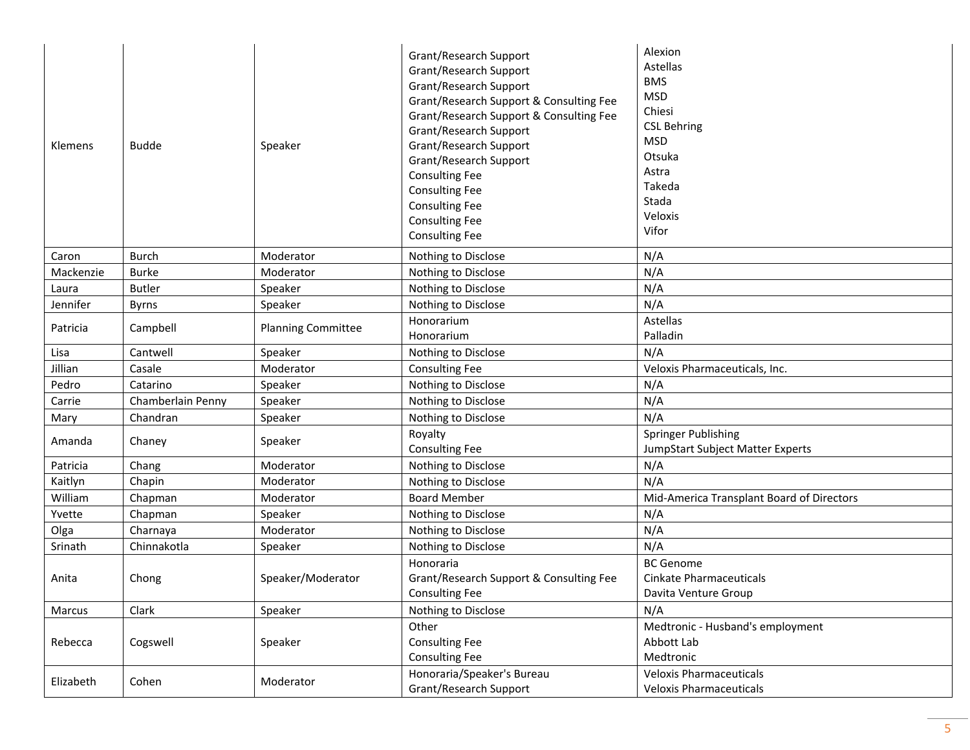| Klemens   | <b>Budde</b>      | Speaker                   | Grant/Research Support<br>Grant/Research Support<br>Grant/Research Support<br>Grant/Research Support & Consulting Fee<br>Grant/Research Support & Consulting Fee<br>Grant/Research Support<br>Grant/Research Support<br>Grant/Research Support<br><b>Consulting Fee</b><br><b>Consulting Fee</b><br><b>Consulting Fee</b><br><b>Consulting Fee</b><br><b>Consulting Fee</b> | Alexion<br>Astellas<br><b>BMS</b><br><b>MSD</b><br>Chiesi<br><b>CSL Behring</b><br><b>MSD</b><br>Otsuka<br>Astra<br>Takeda<br>Stada<br>Veloxis<br>Vifor |
|-----------|-------------------|---------------------------|-----------------------------------------------------------------------------------------------------------------------------------------------------------------------------------------------------------------------------------------------------------------------------------------------------------------------------------------------------------------------------|---------------------------------------------------------------------------------------------------------------------------------------------------------|
| Caron     | <b>Burch</b>      | Moderator                 | Nothing to Disclose                                                                                                                                                                                                                                                                                                                                                         | N/A                                                                                                                                                     |
| Mackenzie | <b>Burke</b>      | Moderator                 | Nothing to Disclose                                                                                                                                                                                                                                                                                                                                                         | N/A                                                                                                                                                     |
| Laura     | <b>Butler</b>     | Speaker                   | Nothing to Disclose                                                                                                                                                                                                                                                                                                                                                         | N/A                                                                                                                                                     |
| Jennifer  | <b>Byrns</b>      | Speaker                   | Nothing to Disclose                                                                                                                                                                                                                                                                                                                                                         | N/A                                                                                                                                                     |
| Patricia  | Campbell          | <b>Planning Committee</b> | Honorarium                                                                                                                                                                                                                                                                                                                                                                  | Astellas                                                                                                                                                |
|           |                   |                           | Honorarium                                                                                                                                                                                                                                                                                                                                                                  | Palladin                                                                                                                                                |
| Lisa      | Cantwell          | Speaker                   | Nothing to Disclose                                                                                                                                                                                                                                                                                                                                                         | N/A                                                                                                                                                     |
| Jillian   | Casale            | Moderator                 | <b>Consulting Fee</b>                                                                                                                                                                                                                                                                                                                                                       | Veloxis Pharmaceuticals, Inc.                                                                                                                           |
| Pedro     | Catarino          | Speaker                   | Nothing to Disclose                                                                                                                                                                                                                                                                                                                                                         | N/A                                                                                                                                                     |
| Carrie    | Chamberlain Penny | Speaker                   | Nothing to Disclose                                                                                                                                                                                                                                                                                                                                                         | N/A                                                                                                                                                     |
| Mary      | Chandran          | Speaker                   | Nothing to Disclose                                                                                                                                                                                                                                                                                                                                                         | N/A                                                                                                                                                     |
| Amanda    | Chaney            | Speaker                   | Royalty<br><b>Consulting Fee</b>                                                                                                                                                                                                                                                                                                                                            | <b>Springer Publishing</b><br>JumpStart Subject Matter Experts                                                                                          |
| Patricia  | Chang             | Moderator                 | Nothing to Disclose                                                                                                                                                                                                                                                                                                                                                         | N/A                                                                                                                                                     |
| Kaitlyn   | Chapin            | Moderator                 | Nothing to Disclose                                                                                                                                                                                                                                                                                                                                                         | N/A                                                                                                                                                     |
| William   | Chapman           | Moderator                 | <b>Board Member</b>                                                                                                                                                                                                                                                                                                                                                         | Mid-America Transplant Board of Directors                                                                                                               |
| Yvette    | Chapman           | Speaker                   | Nothing to Disclose                                                                                                                                                                                                                                                                                                                                                         | N/A                                                                                                                                                     |
| Olga      | Charnaya          | Moderator                 | Nothing to Disclose                                                                                                                                                                                                                                                                                                                                                         | N/A                                                                                                                                                     |
| Srinath   | Chinnakotla       | Speaker                   | Nothing to Disclose                                                                                                                                                                                                                                                                                                                                                         | N/A                                                                                                                                                     |
| Anita     | Chong             | Speaker/Moderator         | Honoraria<br>Grant/Research Support & Consulting Fee<br><b>Consulting Fee</b>                                                                                                                                                                                                                                                                                               | <b>BC</b> Genome<br><b>Cinkate Pharmaceuticals</b><br>Davita Venture Group                                                                              |
| Marcus    | Clark             | Speaker                   | Nothing to Disclose                                                                                                                                                                                                                                                                                                                                                         | N/A                                                                                                                                                     |
| Rebecca   | Cogswell          | Speaker                   | Other<br><b>Consulting Fee</b><br><b>Consulting Fee</b>                                                                                                                                                                                                                                                                                                                     | Medtronic - Husband's employment<br>Abbott Lab<br>Medtronic                                                                                             |
| Elizabeth | Cohen             | Moderator                 | Honoraria/Speaker's Bureau<br>Grant/Research Support                                                                                                                                                                                                                                                                                                                        | <b>Veloxis Pharmaceuticals</b><br><b>Veloxis Pharmaceuticals</b>                                                                                        |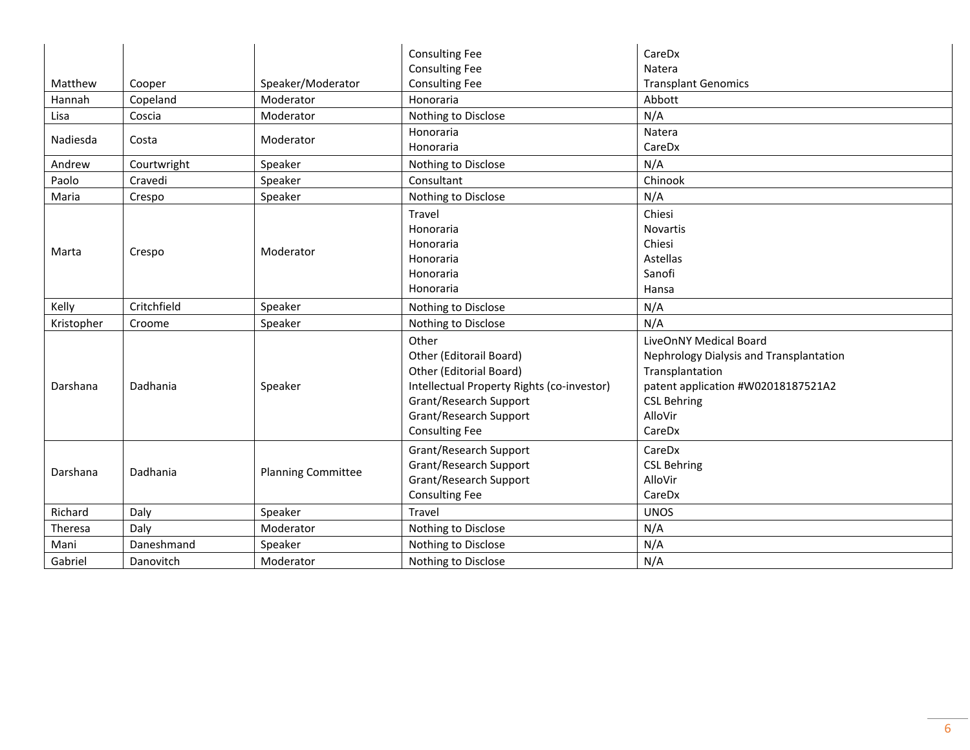|            |             |                           | <b>Consulting Fee</b><br><b>Consulting Fee</b>                                                                                                                                         | CareDx<br>Natera                                                                                                                                                      |
|------------|-------------|---------------------------|----------------------------------------------------------------------------------------------------------------------------------------------------------------------------------------|-----------------------------------------------------------------------------------------------------------------------------------------------------------------------|
| Matthew    | Cooper      | Speaker/Moderator         | <b>Consulting Fee</b>                                                                                                                                                                  | <b>Transplant Genomics</b>                                                                                                                                            |
| Hannah     | Copeland    | Moderator                 | Honoraria                                                                                                                                                                              | Abbott                                                                                                                                                                |
| Lisa       | Coscia      | Moderator                 | Nothing to Disclose                                                                                                                                                                    | N/A                                                                                                                                                                   |
| Nadiesda   | Costa       | Moderator                 | Honoraria<br>Honoraria                                                                                                                                                                 | Natera<br>CareDx                                                                                                                                                      |
| Andrew     | Courtwright | Speaker                   | Nothing to Disclose                                                                                                                                                                    | N/A                                                                                                                                                                   |
| Paolo      | Cravedi     | Speaker                   | Consultant                                                                                                                                                                             | Chinook                                                                                                                                                               |
| Maria      | Crespo      | Speaker                   | Nothing to Disclose                                                                                                                                                                    | N/A                                                                                                                                                                   |
|            |             |                           | Travel                                                                                                                                                                                 | Chiesi                                                                                                                                                                |
|            |             |                           | Honoraria                                                                                                                                                                              | <b>Novartis</b>                                                                                                                                                       |
|            |             |                           | Honoraria                                                                                                                                                                              | Chiesi                                                                                                                                                                |
| Marta      | Crespo      | Moderator                 | Honoraria                                                                                                                                                                              | Astellas                                                                                                                                                              |
|            |             |                           | Honoraria                                                                                                                                                                              | Sanofi                                                                                                                                                                |
|            |             |                           | Honoraria                                                                                                                                                                              | Hansa                                                                                                                                                                 |
| Kelly      | Critchfield | Speaker                   | Nothing to Disclose                                                                                                                                                                    | N/A                                                                                                                                                                   |
| Kristopher | Croome      | Speaker                   | Nothing to Disclose                                                                                                                                                                    | N/A                                                                                                                                                                   |
| Darshana   | Dadhania    | Speaker                   | Other<br>Other (Editorail Board)<br>Other (Editorial Board)<br>Intellectual Property Rights (co-investor)<br>Grant/Research Support<br>Grant/Research Support<br><b>Consulting Fee</b> | LiveOnNY Medical Board<br>Nephrology Dialysis and Transplantation<br>Transplantation<br>patent application #W02018187521A2<br><b>CSL Behring</b><br>AlloVir<br>CareDx |
| Darshana   | Dadhania    | <b>Planning Committee</b> | Grant/Research Support<br>Grant/Research Support<br>Grant/Research Support<br><b>Consulting Fee</b>                                                                                    | CareDx<br><b>CSL Behring</b><br>AlloVir<br>CareDx                                                                                                                     |
| Richard    | Daly        | Speaker                   | Travel                                                                                                                                                                                 | <b>UNOS</b>                                                                                                                                                           |
| Theresa    | Daly        | Moderator                 | Nothing to Disclose                                                                                                                                                                    | N/A                                                                                                                                                                   |
| Mani       | Daneshmand  | Speaker                   | Nothing to Disclose                                                                                                                                                                    | N/A                                                                                                                                                                   |
| Gabriel    | Danovitch   | Moderator                 | Nothing to Disclose                                                                                                                                                                    | N/A                                                                                                                                                                   |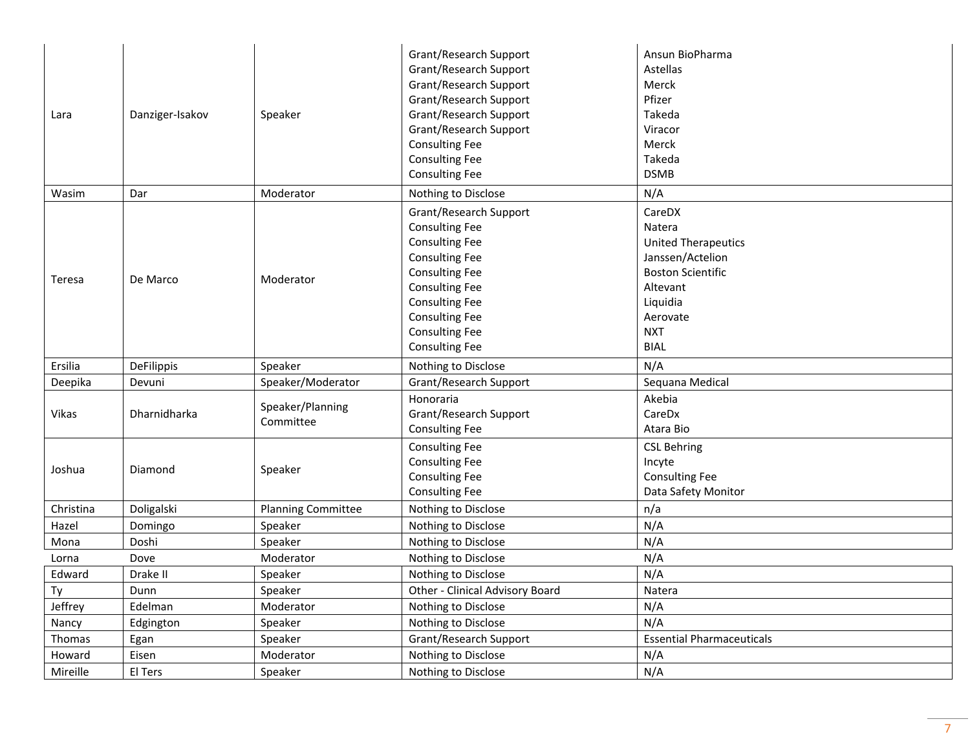| Lara      | Danziger-Isakov | Speaker                       | Grant/Research Support<br>Grant/Research Support<br>Grant/Research Support<br>Grant/Research Support<br>Grant/Research Support<br>Grant/Research Support<br><b>Consulting Fee</b><br><b>Consulting Fee</b><br><b>Consulting Fee</b>                     | Ansun BioPharma<br>Astellas<br>Merck<br>Pfizer<br>Takeda<br>Viracor<br>Merck<br>Takeda<br><b>DSMB</b>                                                           |
|-----------|-----------------|-------------------------------|---------------------------------------------------------------------------------------------------------------------------------------------------------------------------------------------------------------------------------------------------------|-----------------------------------------------------------------------------------------------------------------------------------------------------------------|
| Wasim     | Dar             | Moderator                     | Nothing to Disclose                                                                                                                                                                                                                                     | N/A                                                                                                                                                             |
| Teresa    | De Marco        | Moderator                     | Grant/Research Support<br><b>Consulting Fee</b><br><b>Consulting Fee</b><br><b>Consulting Fee</b><br><b>Consulting Fee</b><br><b>Consulting Fee</b><br><b>Consulting Fee</b><br><b>Consulting Fee</b><br><b>Consulting Fee</b><br><b>Consulting Fee</b> | CareDX<br>Natera<br><b>United Therapeutics</b><br>Janssen/Actelion<br><b>Boston Scientific</b><br>Altevant<br>Liquidia<br>Aerovate<br><b>NXT</b><br><b>BIAL</b> |
| Ersilia   | DeFilippis      | Speaker                       | Nothing to Disclose                                                                                                                                                                                                                                     | N/A                                                                                                                                                             |
| Deepika   | Devuni          | Speaker/Moderator             | Grant/Research Support                                                                                                                                                                                                                                  | Sequana Medical                                                                                                                                                 |
| Vikas     | Dharnidharka    | Speaker/Planning<br>Committee | Honoraria<br>Grant/Research Support<br><b>Consulting Fee</b>                                                                                                                                                                                            | Akebia<br>CareDx<br>Atara Bio                                                                                                                                   |
| Joshua    | Diamond         | Speaker                       | <b>Consulting Fee</b><br><b>Consulting Fee</b><br><b>Consulting Fee</b><br><b>Consulting Fee</b>                                                                                                                                                        | <b>CSL Behring</b><br>Incyte<br><b>Consulting Fee</b><br>Data Safety Monitor                                                                                    |
| Christina | Doligalski      | <b>Planning Committee</b>     | Nothing to Disclose                                                                                                                                                                                                                                     | n/a                                                                                                                                                             |
| Hazel     | Domingo         | Speaker                       | Nothing to Disclose                                                                                                                                                                                                                                     | N/A                                                                                                                                                             |
| Mona      | Doshi           | Speaker                       | Nothing to Disclose                                                                                                                                                                                                                                     | N/A                                                                                                                                                             |
| Lorna     | Dove            | Moderator                     | Nothing to Disclose                                                                                                                                                                                                                                     | N/A                                                                                                                                                             |
| Edward    | Drake II        | Speaker                       | Nothing to Disclose                                                                                                                                                                                                                                     | N/A                                                                                                                                                             |
| Ty        | Dunn            | Speaker                       | Other - Clinical Advisory Board                                                                                                                                                                                                                         | Natera                                                                                                                                                          |
| Jeffrey   | Edelman         | Moderator                     | Nothing to Disclose                                                                                                                                                                                                                                     | N/A                                                                                                                                                             |
| Nancy     | Edgington       | Speaker                       | Nothing to Disclose                                                                                                                                                                                                                                     | N/A                                                                                                                                                             |
| Thomas    | Egan            | Speaker                       | Grant/Research Support                                                                                                                                                                                                                                  | <b>Essential Pharmaceuticals</b>                                                                                                                                |
| Howard    | Eisen           | Moderator                     | Nothing to Disclose                                                                                                                                                                                                                                     | N/A                                                                                                                                                             |
| Mireille  | El Ters         | Speaker                       | Nothing to Disclose                                                                                                                                                                                                                                     | N/A                                                                                                                                                             |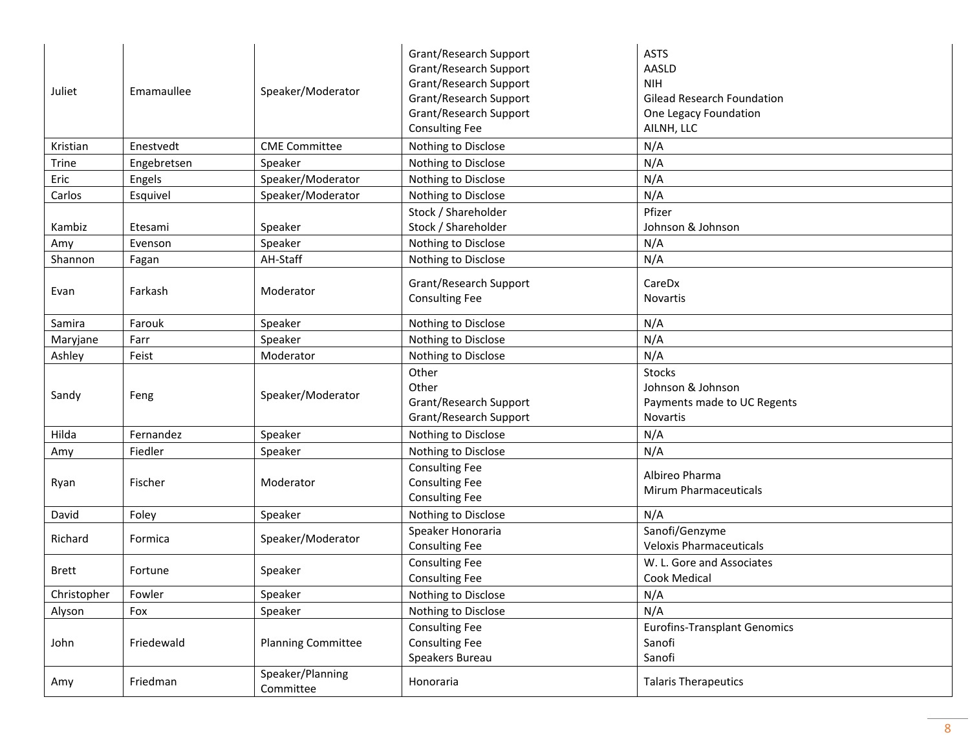| Juliet       | Emamaullee  | Speaker/Moderator             | Grant/Research Support<br>Grant/Research Support<br>Grant/Research Support<br>Grant/Research Support<br>Grant/Research Support<br><b>Consulting Fee</b> | <b>ASTS</b><br>AASLD<br><b>NIH</b><br><b>Gilead Research Foundation</b><br>One Legacy Foundation<br>AILNH, LLC |
|--------------|-------------|-------------------------------|---------------------------------------------------------------------------------------------------------------------------------------------------------|----------------------------------------------------------------------------------------------------------------|
| Kristian     | Enestvedt   | <b>CME Committee</b>          | Nothing to Disclose                                                                                                                                     | N/A                                                                                                            |
| Trine        | Engebretsen | Speaker                       | Nothing to Disclose                                                                                                                                     | N/A                                                                                                            |
| Eric         | Engels      | Speaker/Moderator             | Nothing to Disclose                                                                                                                                     | N/A                                                                                                            |
| Carlos       | Esquivel    | Speaker/Moderator             | Nothing to Disclose                                                                                                                                     | N/A                                                                                                            |
| Kambiz       | Etesami     | Speaker                       | Stock / Shareholder<br>Stock / Shareholder                                                                                                              | Pfizer<br>Johnson & Johnson                                                                                    |
| Amy          | Evenson     | Speaker                       | Nothing to Disclose                                                                                                                                     | N/A                                                                                                            |
| Shannon      | Fagan       | AH-Staff                      | Nothing to Disclose                                                                                                                                     | N/A                                                                                                            |
| Evan         | Farkash     | Moderator                     | Grant/Research Support<br><b>Consulting Fee</b>                                                                                                         | CareDx<br>Novartis                                                                                             |
| Samira       | Farouk      | Speaker                       | Nothing to Disclose                                                                                                                                     | N/A                                                                                                            |
| Maryjane     | Farr        | Speaker                       | Nothing to Disclose                                                                                                                                     | N/A                                                                                                            |
| Ashley       | Feist       | Moderator                     | Nothing to Disclose                                                                                                                                     | N/A                                                                                                            |
| Sandy        | Feng        | Speaker/Moderator             | Other<br>Other<br>Grant/Research Support<br>Grant/Research Support                                                                                      | Stocks<br>Johnson & Johnson<br>Payments made to UC Regents<br>Novartis                                         |
| Hilda        | Fernandez   | Speaker                       | Nothing to Disclose                                                                                                                                     | N/A                                                                                                            |
| Amy          | Fiedler     | Speaker                       | Nothing to Disclose                                                                                                                                     | N/A                                                                                                            |
| Ryan         | Fischer     | Moderator                     | <b>Consulting Fee</b><br><b>Consulting Fee</b><br><b>Consulting Fee</b>                                                                                 | Albireo Pharma<br><b>Mirum Pharmaceuticals</b>                                                                 |
| David        | Foley       | Speaker                       | Nothing to Disclose                                                                                                                                     | N/A                                                                                                            |
| Richard      | Formica     | Speaker/Moderator             | Speaker Honoraria<br><b>Consulting Fee</b>                                                                                                              | Sanofi/Genzyme<br><b>Veloxis Pharmaceuticals</b>                                                               |
| <b>Brett</b> | Fortune     | Speaker                       | <b>Consulting Fee</b><br><b>Consulting Fee</b>                                                                                                          | W. L. Gore and Associates<br>Cook Medical                                                                      |
| Christopher  | Fowler      | Speaker                       | Nothing to Disclose                                                                                                                                     | N/A                                                                                                            |
| Alyson       | Fox         | Speaker                       | Nothing to Disclose                                                                                                                                     | N/A                                                                                                            |
| John         | Friedewald  | <b>Planning Committee</b>     | <b>Consulting Fee</b><br><b>Consulting Fee</b><br>Speakers Bureau                                                                                       | <b>Eurofins-Transplant Genomics</b><br>Sanofi<br>Sanofi                                                        |
| Amy          | Friedman    | Speaker/Planning<br>Committee | Honoraria                                                                                                                                               | <b>Talaris Therapeutics</b>                                                                                    |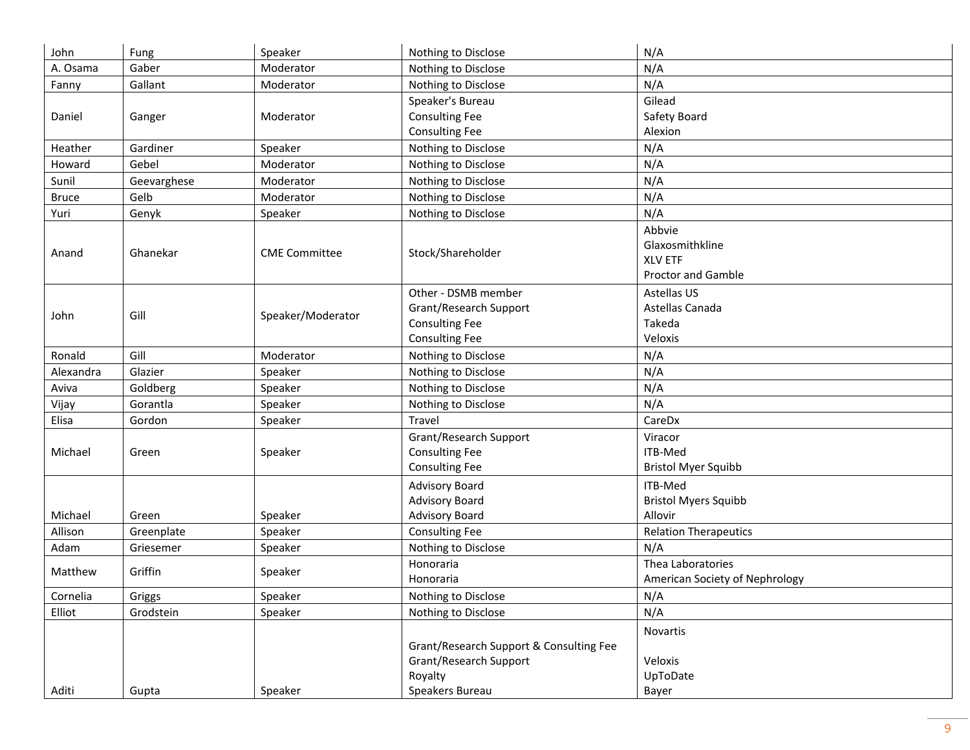| John         | Fung        | Speaker              | Nothing to Disclose                     | N/A                            |
|--------------|-------------|----------------------|-----------------------------------------|--------------------------------|
| A. Osama     | Gaber       | Moderator            | Nothing to Disclose                     | N/A                            |
| Fanny        | Gallant     | Moderator            | Nothing to Disclose                     | N/A                            |
|              |             |                      | Speaker's Bureau                        | Gilead                         |
| Daniel       | Ganger      | Moderator            | <b>Consulting Fee</b>                   | Safety Board                   |
|              |             |                      | <b>Consulting Fee</b>                   | Alexion                        |
| Heather      | Gardiner    | Speaker              | Nothing to Disclose                     | N/A                            |
| Howard       | Gebel       | Moderator            | Nothing to Disclose                     | N/A                            |
| Sunil        | Geevarghese | Moderator            | Nothing to Disclose                     | N/A                            |
| <b>Bruce</b> | Gelb        | Moderator            | Nothing to Disclose                     | N/A                            |
| Yuri         | Genyk       | Speaker              | Nothing to Disclose                     | N/A                            |
|              |             |                      |                                         | Abbvie                         |
|              |             |                      |                                         | Glaxosmithkline                |
| Anand        | Ghanekar    | <b>CME Committee</b> | Stock/Shareholder                       | <b>XLV ETF</b>                 |
|              |             |                      |                                         | <b>Proctor and Gamble</b>      |
|              |             |                      | Other - DSMB member                     | Astellas US                    |
|              | Gill        |                      | Grant/Research Support                  | Astellas Canada                |
| John         |             | Speaker/Moderator    | <b>Consulting Fee</b>                   | Takeda                         |
|              |             |                      | <b>Consulting Fee</b>                   | Veloxis                        |
| Ronald       | Gill        | Moderator            | Nothing to Disclose                     | N/A                            |
| Alexandra    | Glazier     | Speaker              | Nothing to Disclose                     | N/A                            |
| Aviva        | Goldberg    | Speaker              | Nothing to Disclose                     | N/A                            |
| Vijay        | Gorantla    | Speaker              | Nothing to Disclose                     | N/A                            |
| Elisa        | Gordon      | Speaker              | Travel                                  | CareDx                         |
|              |             |                      | Grant/Research Support                  | Viracor                        |
| Michael      | Green       | Speaker              | <b>Consulting Fee</b>                   | ITB-Med                        |
|              |             |                      | <b>Consulting Fee</b>                   | <b>Bristol Myer Squibb</b>     |
|              |             |                      | <b>Advisory Board</b>                   | ITB-Med                        |
|              |             |                      | <b>Advisory Board</b>                   | <b>Bristol Myers Squibb</b>    |
| Michael      | Green       | Speaker              | <b>Advisory Board</b>                   | Allovir                        |
| Allison      | Greenplate  | Speaker              | <b>Consulting Fee</b>                   | <b>Relation Therapeutics</b>   |
| Adam         | Griesemer   | Speaker              | Nothing to Disclose                     | N/A                            |
| Matthew      | Griffin     | Speaker              | Honoraria                               | Thea Laboratories              |
|              |             |                      | Honoraria                               | American Society of Nephrology |
| Cornelia     | Griggs      | Speaker              | Nothing to Disclose                     | N/A                            |
| Elliot       | Grodstein   | Speaker              | Nothing to Disclose                     | N/A                            |
|              |             |                      |                                         | Novartis                       |
|              |             |                      | Grant/Research Support & Consulting Fee |                                |
|              |             |                      | Grant/Research Support                  | Veloxis                        |
|              |             |                      | Royalty                                 | UpToDate                       |
| Aditi        | Gupta       | Speaker              | Speakers Bureau                         | Bayer                          |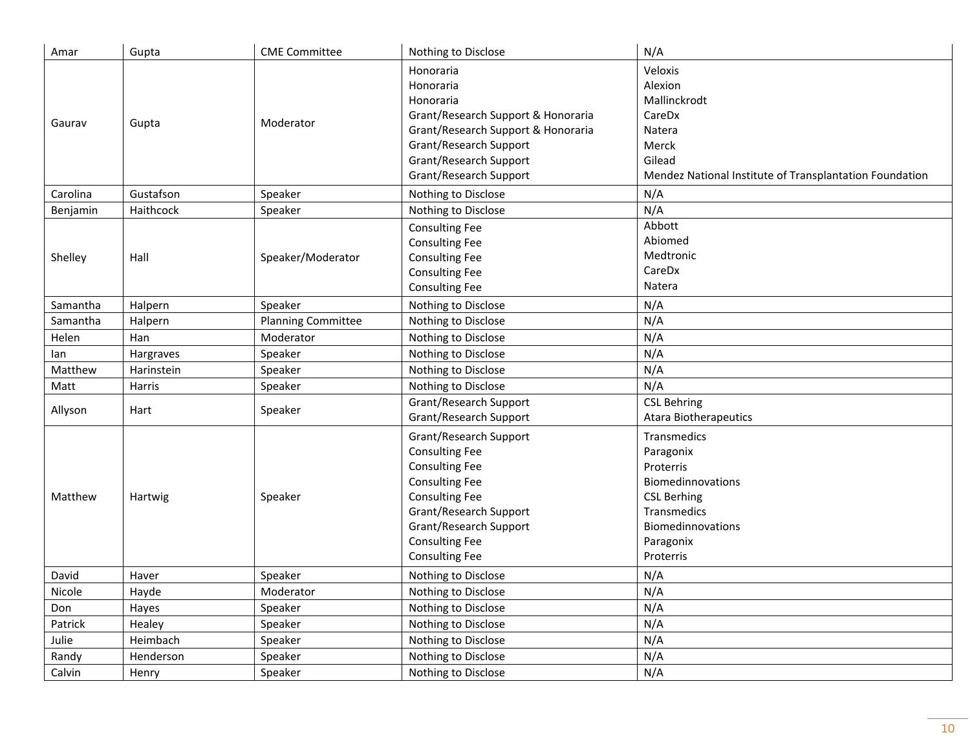| Amar     | Gupta      | <b>CME Committee</b>      | Nothing to Disclose                                                                                                                                                                                                              | N/A                                                                                                                                            |
|----------|------------|---------------------------|----------------------------------------------------------------------------------------------------------------------------------------------------------------------------------------------------------------------------------|------------------------------------------------------------------------------------------------------------------------------------------------|
| Gaurav   | Gupta      | Moderator                 | Honoraria<br>Honoraria<br>Honoraria<br>Grant/Research Support & Honoraria<br>Grant/Research Support & Honoraria<br>Grant/Research Support<br>Grant/Research Support<br>Grant/Research Support                                    | Veloxis<br>Alexion<br>Mallinckrodt<br>CareDx<br>Natera<br>Merck<br>Gilead<br>Mendez National Institute of Transplantation Foundation           |
| Carolina | Gustafson  | Speaker                   | Nothing to Disclose                                                                                                                                                                                                              | N/A                                                                                                                                            |
| Benjamin | Haithcock  | Speaker                   | Nothing to Disclose                                                                                                                                                                                                              | N/A                                                                                                                                            |
| Shelley  | Hall       | Speaker/Moderator         | <b>Consulting Fee</b><br><b>Consulting Fee</b><br><b>Consulting Fee</b><br><b>Consulting Fee</b><br><b>Consulting Fee</b>                                                                                                        | Abbott<br>Abiomed<br>Medtronic<br>CareDx<br>Natera                                                                                             |
| Samantha | Halpern    | Speaker                   | Nothing to Disclose                                                                                                                                                                                                              | N/A                                                                                                                                            |
| Samantha | Halpern    | <b>Planning Committee</b> | Nothing to Disclose                                                                                                                                                                                                              | N/A                                                                                                                                            |
| Helen    | Han        | Moderator                 | Nothing to Disclose                                                                                                                                                                                                              | N/A                                                                                                                                            |
| lan      | Hargraves  | Speaker                   | Nothing to Disclose                                                                                                                                                                                                              | N/A                                                                                                                                            |
| Matthew  | Harinstein | Speaker                   | Nothing to Disclose                                                                                                                                                                                                              | N/A                                                                                                                                            |
| Matt     | Harris     | Speaker                   | Nothing to Disclose                                                                                                                                                                                                              | N/A                                                                                                                                            |
| Allyson  | Hart       | Speaker                   | Grant/Research Support<br>Grant/Research Support                                                                                                                                                                                 | <b>CSL Behring</b><br><b>Atara Biotherapeutics</b>                                                                                             |
| Matthew  | Hartwig    | Speaker                   | Grant/Research Support<br><b>Consulting Fee</b><br><b>Consulting Fee</b><br><b>Consulting Fee</b><br><b>Consulting Fee</b><br>Grant/Research Support<br>Grant/Research Support<br><b>Consulting Fee</b><br><b>Consulting Fee</b> | Transmedics<br>Paragonix<br>Proterris<br>Biomedinnovations<br><b>CSL Berhing</b><br>Transmedics<br>Biomedinnovations<br>Paragonix<br>Proterris |
| David    | Haver      | Speaker                   | Nothing to Disclose                                                                                                                                                                                                              | N/A                                                                                                                                            |
| Nicole   | Hayde      | Moderator                 | Nothing to Disclose                                                                                                                                                                                                              | N/A                                                                                                                                            |
| Don      | Hayes      | Speaker                   | Nothing to Disclose                                                                                                                                                                                                              | N/A                                                                                                                                            |
| Patrick  | Healey     | Speaker                   | Nothing to Disclose                                                                                                                                                                                                              | N/A                                                                                                                                            |
| Julie    | Heimbach   | Speaker                   | Nothing to Disclose                                                                                                                                                                                                              | N/A                                                                                                                                            |
| Randy    | Henderson  | Speaker                   | Nothing to Disclose                                                                                                                                                                                                              | N/A                                                                                                                                            |
| Calvin   | Henry      | Speaker                   | Nothing to Disclose                                                                                                                                                                                                              | N/A                                                                                                                                            |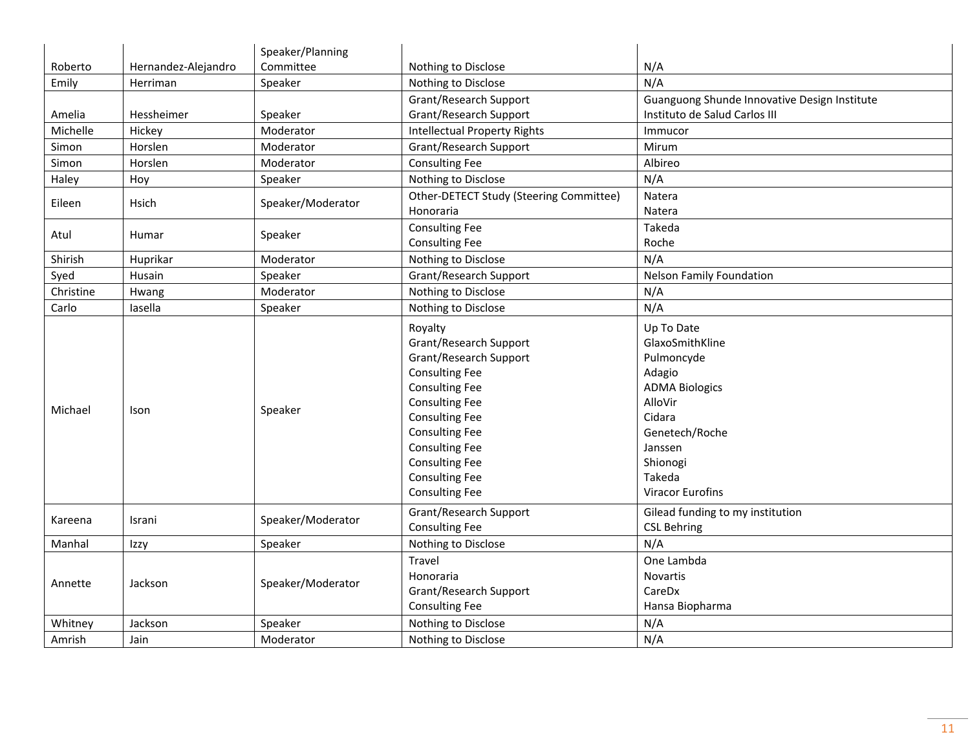|           |                     | Speaker/Planning  |                                                                                                                                                                                                                                                                                              |                                                                                                                                                                                   |
|-----------|---------------------|-------------------|----------------------------------------------------------------------------------------------------------------------------------------------------------------------------------------------------------------------------------------------------------------------------------------------|-----------------------------------------------------------------------------------------------------------------------------------------------------------------------------------|
| Roberto   | Hernandez-Alejandro | Committee         | Nothing to Disclose                                                                                                                                                                                                                                                                          | N/A                                                                                                                                                                               |
| Emily     | Herriman            | Speaker           | Nothing to Disclose                                                                                                                                                                                                                                                                          | N/A                                                                                                                                                                               |
|           |                     |                   | Grant/Research Support                                                                                                                                                                                                                                                                       | Guanguong Shunde Innovative Design Institute                                                                                                                                      |
| Amelia    | Hessheimer          | Speaker           | Grant/Research Support                                                                                                                                                                                                                                                                       | Instituto de Salud Carlos III                                                                                                                                                     |
| Michelle  | Hickey              | Moderator         | <b>Intellectual Property Rights</b>                                                                                                                                                                                                                                                          | Immucor                                                                                                                                                                           |
| Simon     | Horslen             | Moderator         | Grant/Research Support                                                                                                                                                                                                                                                                       | Mirum                                                                                                                                                                             |
| Simon     | Horslen             | Moderator         | <b>Consulting Fee</b>                                                                                                                                                                                                                                                                        | Albireo                                                                                                                                                                           |
| Haley     | Hoy                 | Speaker           | Nothing to Disclose                                                                                                                                                                                                                                                                          | N/A                                                                                                                                                                               |
| Eileen    | Hsich               |                   | Other-DETECT Study (Steering Committee)                                                                                                                                                                                                                                                      | Natera                                                                                                                                                                            |
|           |                     | Speaker/Moderator | Honoraria                                                                                                                                                                                                                                                                                    | Natera                                                                                                                                                                            |
| Atul      | Humar               | Speaker           | <b>Consulting Fee</b>                                                                                                                                                                                                                                                                        | Takeda                                                                                                                                                                            |
|           |                     |                   | <b>Consulting Fee</b>                                                                                                                                                                                                                                                                        | Roche                                                                                                                                                                             |
| Shirish   | Huprikar            | Moderator         | Nothing to Disclose                                                                                                                                                                                                                                                                          | N/A                                                                                                                                                                               |
| Syed      | Husain              | Speaker           | Grant/Research Support                                                                                                                                                                                                                                                                       | <b>Nelson Family Foundation</b>                                                                                                                                                   |
| Christine | Hwang               | Moderator         | Nothing to Disclose                                                                                                                                                                                                                                                                          | N/A                                                                                                                                                                               |
| Carlo     | lasella             | Speaker           | Nothing to Disclose                                                                                                                                                                                                                                                                          | N/A                                                                                                                                                                               |
| Michael   | Ison                | Speaker           | Royalty<br>Grant/Research Support<br>Grant/Research Support<br><b>Consulting Fee</b><br><b>Consulting Fee</b><br><b>Consulting Fee</b><br><b>Consulting Fee</b><br><b>Consulting Fee</b><br><b>Consulting Fee</b><br><b>Consulting Fee</b><br><b>Consulting Fee</b><br><b>Consulting Fee</b> | Up To Date<br>GlaxoSmithKline<br>Pulmoncyde<br>Adagio<br><b>ADMA Biologics</b><br>AlloVir<br>Cidara<br>Genetech/Roche<br>Janssen<br>Shionogi<br>Takeda<br><b>Viracor Eurofins</b> |
| Kareena   | Israni              | Speaker/Moderator | Grant/Research Support<br><b>Consulting Fee</b>                                                                                                                                                                                                                                              | Gilead funding to my institution<br><b>CSL Behring</b>                                                                                                                            |
| Manhal    | Izzy                | Speaker           | Nothing to Disclose                                                                                                                                                                                                                                                                          | N/A                                                                                                                                                                               |
|           |                     |                   | Travel                                                                                                                                                                                                                                                                                       | One Lambda                                                                                                                                                                        |
| Annette   | Jackson             | Speaker/Moderator | Honoraria                                                                                                                                                                                                                                                                                    | <b>Novartis</b>                                                                                                                                                                   |
|           |                     |                   | Grant/Research Support                                                                                                                                                                                                                                                                       | CareDx                                                                                                                                                                            |
|           |                     |                   | <b>Consulting Fee</b>                                                                                                                                                                                                                                                                        | Hansa Biopharma                                                                                                                                                                   |
| Whitney   | Jackson             | Speaker           | Nothing to Disclose                                                                                                                                                                                                                                                                          | N/A                                                                                                                                                                               |
| Amrish    | Jain                | Moderator         | Nothing to Disclose                                                                                                                                                                                                                                                                          | N/A                                                                                                                                                                               |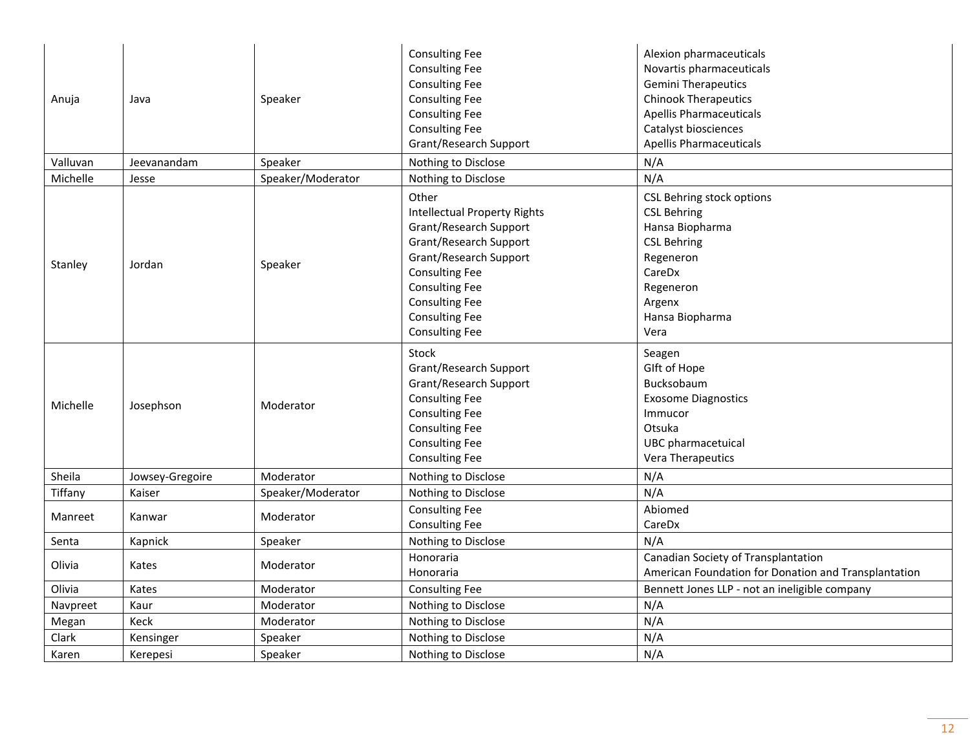| Anuja    | Java            | Speaker           | <b>Consulting Fee</b><br><b>Consulting Fee</b><br><b>Consulting Fee</b><br><b>Consulting Fee</b><br><b>Consulting Fee</b><br><b>Consulting Fee</b><br>Grant/Research Support                                                                            | Alexion pharmaceuticals<br>Novartis pharmaceuticals<br><b>Gemini Therapeutics</b><br><b>Chinook Therapeutics</b><br><b>Apellis Pharmaceuticals</b><br>Catalyst biosciences<br><b>Apellis Pharmaceuticals</b> |
|----------|-----------------|-------------------|---------------------------------------------------------------------------------------------------------------------------------------------------------------------------------------------------------------------------------------------------------|--------------------------------------------------------------------------------------------------------------------------------------------------------------------------------------------------------------|
| Valluvan | Jeevanandam     | Speaker           | Nothing to Disclose                                                                                                                                                                                                                                     | N/A                                                                                                                                                                                                          |
| Michelle | Jesse           | Speaker/Moderator | Nothing to Disclose                                                                                                                                                                                                                                     | N/A                                                                                                                                                                                                          |
| Stanley  | Jordan          | Speaker           | Other<br><b>Intellectual Property Rights</b><br>Grant/Research Support<br>Grant/Research Support<br>Grant/Research Support<br><b>Consulting Fee</b><br><b>Consulting Fee</b><br><b>Consulting Fee</b><br><b>Consulting Fee</b><br><b>Consulting Fee</b> | CSL Behring stock options<br><b>CSL Behring</b><br>Hansa Biopharma<br><b>CSL Behring</b><br>Regeneron<br>CareDx<br>Regeneron<br>Argenx<br>Hansa Biopharma<br>Vera                                            |
| Michelle | Josephson       | Moderator         | <b>Stock</b><br>Grant/Research Support<br>Grant/Research Support<br><b>Consulting Fee</b><br><b>Consulting Fee</b><br><b>Consulting Fee</b><br><b>Consulting Fee</b><br><b>Consulting Fee</b>                                                           | Seagen<br>Glft of Hope<br>Bucksobaum<br><b>Exosome Diagnostics</b><br>Immucor<br>Otsuka<br>UBC pharmacetuical<br>Vera Therapeutics                                                                           |
| Sheila   | Jowsey-Gregoire | Moderator         | Nothing to Disclose                                                                                                                                                                                                                                     | N/A                                                                                                                                                                                                          |
| Tiffany  | Kaiser          | Speaker/Moderator | Nothing to Disclose                                                                                                                                                                                                                                     | N/A                                                                                                                                                                                                          |
| Manreet  | Kanwar          | Moderator         | <b>Consulting Fee</b><br><b>Consulting Fee</b>                                                                                                                                                                                                          | Abiomed<br>CareDx                                                                                                                                                                                            |
| Senta    | Kapnick         | Speaker           | Nothing to Disclose                                                                                                                                                                                                                                     | N/A                                                                                                                                                                                                          |
| Olivia   | Kates           | Moderator         | Honoraria<br>Honoraria                                                                                                                                                                                                                                  | Canadian Society of Transplantation<br>American Foundation for Donation and Transplantation                                                                                                                  |
| Olivia   | Kates           | Moderator         | <b>Consulting Fee</b>                                                                                                                                                                                                                                   | Bennett Jones LLP - not an ineligible company                                                                                                                                                                |
| Navpreet | Kaur            | Moderator         | Nothing to Disclose                                                                                                                                                                                                                                     | N/A                                                                                                                                                                                                          |
| Megan    | Keck            | Moderator         | Nothing to Disclose                                                                                                                                                                                                                                     | N/A                                                                                                                                                                                                          |
| Clark    | Kensinger       | Speaker           | Nothing to Disclose                                                                                                                                                                                                                                     | N/A                                                                                                                                                                                                          |
| Karen    | Kerepesi        | Speaker           | Nothing to Disclose                                                                                                                                                                                                                                     | N/A                                                                                                                                                                                                          |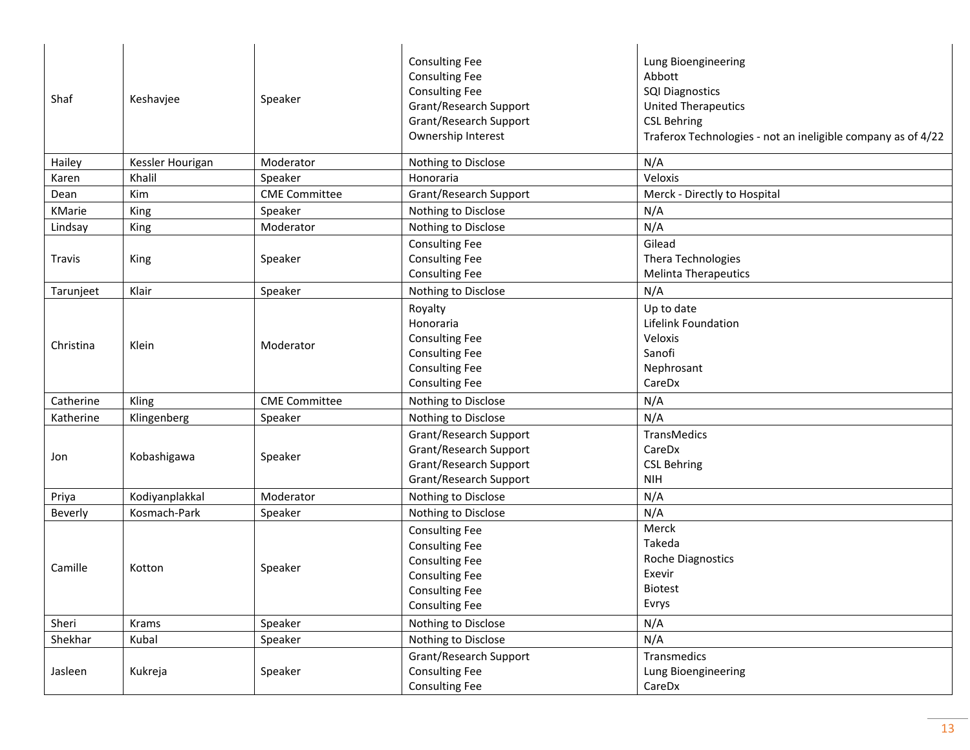| Shaf      | Keshavjee        | Speaker              | <b>Consulting Fee</b><br><b>Consulting Fee</b><br><b>Consulting Fee</b><br>Grant/Research Support<br>Grant/Research Support<br>Ownership Interest  | Lung Bioengineering<br>Abbott<br><b>SQI Diagnostics</b><br><b>United Therapeutics</b><br><b>CSL Behring</b><br>Traferox Technologies - not an ineligible company as of 4/22 |
|-----------|------------------|----------------------|----------------------------------------------------------------------------------------------------------------------------------------------------|-----------------------------------------------------------------------------------------------------------------------------------------------------------------------------|
| Hailey    | Kessler Hourigan | Moderator            | Nothing to Disclose                                                                                                                                | N/A                                                                                                                                                                         |
| Karen     | Khalil           | Speaker              | Honoraria                                                                                                                                          | Veloxis                                                                                                                                                                     |
| Dean      | Kim              | <b>CME Committee</b> | Grant/Research Support                                                                                                                             | Merck - Directly to Hospital                                                                                                                                                |
| KMarie    | King             | Speaker              | Nothing to Disclose                                                                                                                                | N/A                                                                                                                                                                         |
| Lindsay   | King             | Moderator            | Nothing to Disclose                                                                                                                                | N/A                                                                                                                                                                         |
| Travis    | King             | Speaker              | <b>Consulting Fee</b><br><b>Consulting Fee</b><br><b>Consulting Fee</b>                                                                            | Gilead<br>Thera Technologies<br><b>Melinta Therapeutics</b>                                                                                                                 |
| Tarunjeet | Klair            | Speaker              | Nothing to Disclose                                                                                                                                | N/A                                                                                                                                                                         |
| Christina | Klein            | Moderator            | Royalty<br>Honoraria<br><b>Consulting Fee</b><br><b>Consulting Fee</b><br><b>Consulting Fee</b><br><b>Consulting Fee</b>                           | Up to date<br>Lifelink Foundation<br>Veloxis<br>Sanofi<br>Nephrosant<br>CareDx                                                                                              |
| Catherine | Kling            | <b>CME Committee</b> | Nothing to Disclose                                                                                                                                | N/A                                                                                                                                                                         |
| Katherine | Klingenberg      | Speaker              | Nothing to Disclose                                                                                                                                | N/A                                                                                                                                                                         |
| Jon       | Kobashigawa      | Speaker              | Grant/Research Support<br>Grant/Research Support<br>Grant/Research Support<br>Grant/Research Support                                               | TransMedics<br>CareDx<br><b>CSL Behring</b><br><b>NIH</b>                                                                                                                   |
| Priya     | Kodiyanplakkal   | Moderator            | Nothing to Disclose                                                                                                                                | N/A                                                                                                                                                                         |
| Beverly   | Kosmach-Park     | Speaker              | Nothing to Disclose                                                                                                                                | N/A                                                                                                                                                                         |
| Camille   | Kotton           | Speaker              | <b>Consulting Fee</b><br><b>Consulting Fee</b><br><b>Consulting Fee</b><br><b>Consulting Fee</b><br><b>Consulting Fee</b><br><b>Consulting Fee</b> | Merck<br>Takeda<br><b>Roche Diagnostics</b><br>Exevir<br><b>Biotest</b><br>Evrys                                                                                            |
| Sheri     | Krams            | Speaker              | Nothing to Disclose                                                                                                                                | N/A                                                                                                                                                                         |
| Shekhar   | Kubal            | Speaker              | Nothing to Disclose                                                                                                                                | N/A                                                                                                                                                                         |
| Jasleen   | Kukreja          | Speaker              | Grant/Research Support<br><b>Consulting Fee</b><br><b>Consulting Fee</b>                                                                           | Transmedics<br>Lung Bioengineering<br>CareDx                                                                                                                                |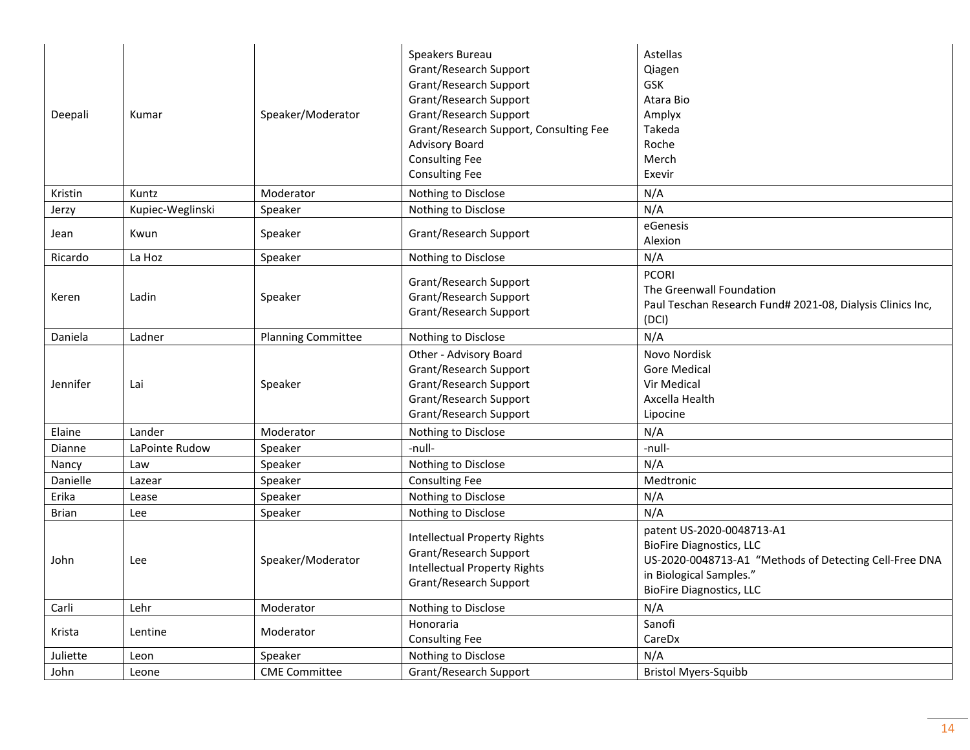| Deepali       | Kumar            | Speaker/Moderator         | Speakers Bureau<br>Grant/Research Support<br>Grant/Research Support<br>Grant/Research Support<br>Grant/Research Support<br>Grant/Research Support, Consulting Fee<br><b>Advisory Board</b><br><b>Consulting Fee</b><br><b>Consulting Fee</b> | Astellas<br>Qiagen<br>GSK<br>Atara Bio<br>Amplyx<br>Takeda<br>Roche<br>Merch<br>Exevir                                                                                               |
|---------------|------------------|---------------------------|----------------------------------------------------------------------------------------------------------------------------------------------------------------------------------------------------------------------------------------------|--------------------------------------------------------------------------------------------------------------------------------------------------------------------------------------|
| Kristin       | Kuntz            | Moderator                 | Nothing to Disclose                                                                                                                                                                                                                          | N/A                                                                                                                                                                                  |
| Jerzy         | Kupiec-Weglinski | Speaker                   | Nothing to Disclose                                                                                                                                                                                                                          | N/A                                                                                                                                                                                  |
| Jean          | Kwun             | Speaker                   | Grant/Research Support                                                                                                                                                                                                                       | eGenesis<br>Alexion                                                                                                                                                                  |
| Ricardo       | La Hoz           | Speaker                   | Nothing to Disclose                                                                                                                                                                                                                          | N/A                                                                                                                                                                                  |
| Keren         | Ladin            | Speaker                   | Grant/Research Support<br>Grant/Research Support<br>Grant/Research Support                                                                                                                                                                   | <b>PCORI</b><br>The Greenwall Foundation<br>Paul Teschan Research Fund# 2021-08, Dialysis Clinics Inc,<br>(DCI)                                                                      |
| Daniela       | Ladner           | <b>Planning Committee</b> | Nothing to Disclose                                                                                                                                                                                                                          | N/A                                                                                                                                                                                  |
| Jennifer      | Lai              | Speaker                   | Other - Advisory Board<br>Grant/Research Support<br>Grant/Research Support<br>Grant/Research Support<br>Grant/Research Support                                                                                                               | Novo Nordisk<br><b>Gore Medical</b><br>Vir Medical<br>Axcella Health<br>Lipocine                                                                                                     |
| Elaine        | Lander           | Moderator                 | Nothing to Disclose                                                                                                                                                                                                                          | N/A                                                                                                                                                                                  |
| <b>Dianne</b> | LaPointe Rudow   | Speaker                   | -null-                                                                                                                                                                                                                                       | -null-                                                                                                                                                                               |
| Nancy         | Law              | Speaker                   | Nothing to Disclose                                                                                                                                                                                                                          | N/A                                                                                                                                                                                  |
| Danielle      | Lazear           | Speaker                   | <b>Consulting Fee</b>                                                                                                                                                                                                                        | Medtronic                                                                                                                                                                            |
| Erika         | Lease            | Speaker                   | Nothing to Disclose                                                                                                                                                                                                                          | N/A                                                                                                                                                                                  |
| <b>Brian</b>  | Lee              | Speaker                   | Nothing to Disclose                                                                                                                                                                                                                          | N/A                                                                                                                                                                                  |
| John          | Lee              | Speaker/Moderator         | <b>Intellectual Property Rights</b><br>Grant/Research Support<br><b>Intellectual Property Rights</b><br>Grant/Research Support                                                                                                               | patent US-2020-0048713-A1<br><b>BioFire Diagnostics, LLC</b><br>US-2020-0048713-A1 "Methods of Detecting Cell-Free DNA<br>in Biological Samples."<br><b>BioFire Diagnostics, LLC</b> |
| Carli         | Lehr             | Moderator                 | Nothing to Disclose                                                                                                                                                                                                                          | N/A                                                                                                                                                                                  |
| Krista        | Lentine          | Moderator                 | Honoraria<br><b>Consulting Fee</b>                                                                                                                                                                                                           | Sanofi<br>CareDx                                                                                                                                                                     |
| Juliette      | Leon             | Speaker                   | Nothing to Disclose                                                                                                                                                                                                                          | N/A                                                                                                                                                                                  |
| John          | Leone            | <b>CME Committee</b>      | Grant/Research Support                                                                                                                                                                                                                       | <b>Bristol Myers-Squibb</b>                                                                                                                                                          |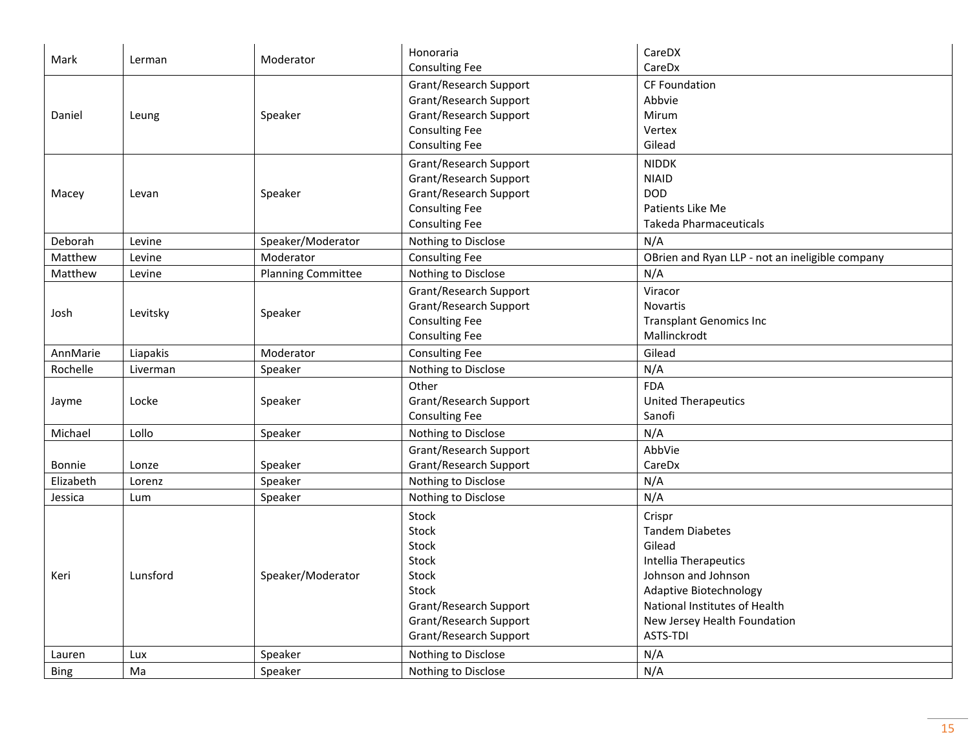| Mark        | Lerman   | Moderator                 | Honoraria<br><b>Consulting Fee</b>                                                                                                             | CareDX<br>CareDx                                                                                                                                                                                         |
|-------------|----------|---------------------------|------------------------------------------------------------------------------------------------------------------------------------------------|----------------------------------------------------------------------------------------------------------------------------------------------------------------------------------------------------------|
| Daniel      | Leung    | Speaker                   | Grant/Research Support<br>Grant/Research Support<br>Grant/Research Support<br><b>Consulting Fee</b><br><b>Consulting Fee</b>                   | CF Foundation<br>Abbvie<br>Mirum<br>Vertex<br>Gilead                                                                                                                                                     |
| Macey       | Levan    | Speaker                   | Grant/Research Support<br>Grant/Research Support<br>Grant/Research Support<br><b>Consulting Fee</b><br><b>Consulting Fee</b>                   | <b>NIDDK</b><br><b>NIAID</b><br><b>DOD</b><br>Patients Like Me<br><b>Takeda Pharmaceuticals</b>                                                                                                          |
| Deborah     | Levine   | Speaker/Moderator         | Nothing to Disclose                                                                                                                            | N/A                                                                                                                                                                                                      |
| Matthew     | Levine   | Moderator                 | <b>Consulting Fee</b>                                                                                                                          | OBrien and Ryan LLP - not an ineligible company                                                                                                                                                          |
| Matthew     | Levine   | <b>Planning Committee</b> | Nothing to Disclose                                                                                                                            | N/A                                                                                                                                                                                                      |
| Josh        | Levitsky | Speaker                   | Grant/Research Support<br>Grant/Research Support<br><b>Consulting Fee</b><br><b>Consulting Fee</b>                                             | Viracor<br>Novartis<br><b>Transplant Genomics Inc</b><br>Mallinckrodt                                                                                                                                    |
| AnnMarie    | Liapakis | Moderator                 | <b>Consulting Fee</b>                                                                                                                          | Gilead                                                                                                                                                                                                   |
| Rochelle    | Liverman | Speaker                   | Nothing to Disclose                                                                                                                            | N/A                                                                                                                                                                                                      |
| Jayme       | Locke    | Speaker                   | Other<br>Grant/Research Support<br><b>Consulting Fee</b>                                                                                       | <b>FDA</b><br><b>United Therapeutics</b><br>Sanofi                                                                                                                                                       |
| Michael     | Lollo    | Speaker                   | Nothing to Disclose                                                                                                                            | N/A                                                                                                                                                                                                      |
| Bonnie      | Lonze    | Speaker                   | Grant/Research Support<br>Grant/Research Support                                                                                               | AbbVie<br>CareDx                                                                                                                                                                                         |
| Elizabeth   | Lorenz   | Speaker                   | Nothing to Disclose                                                                                                                            | N/A                                                                                                                                                                                                      |
| Jessica     | Lum      | Speaker                   | Nothing to Disclose                                                                                                                            | N/A                                                                                                                                                                                                      |
| Keri        | Lunsford | Speaker/Moderator         | Stock<br>Stock<br>Stock<br><b>Stock</b><br>Stock<br><b>Stock</b><br>Grant/Research Support<br>Grant/Research Support<br>Grant/Research Support | Crispr<br><b>Tandem Diabetes</b><br>Gilead<br><b>Intellia Therapeutics</b><br>Johnson and Johnson<br>Adaptive Biotechnology<br>National Institutes of Health<br>New Jersey Health Foundation<br>ASTS-TDI |
| Lauren      | Lux      | Speaker                   | Nothing to Disclose                                                                                                                            | N/A                                                                                                                                                                                                      |
| <b>Bing</b> | Ma       | Speaker                   | Nothing to Disclose                                                                                                                            | N/A                                                                                                                                                                                                      |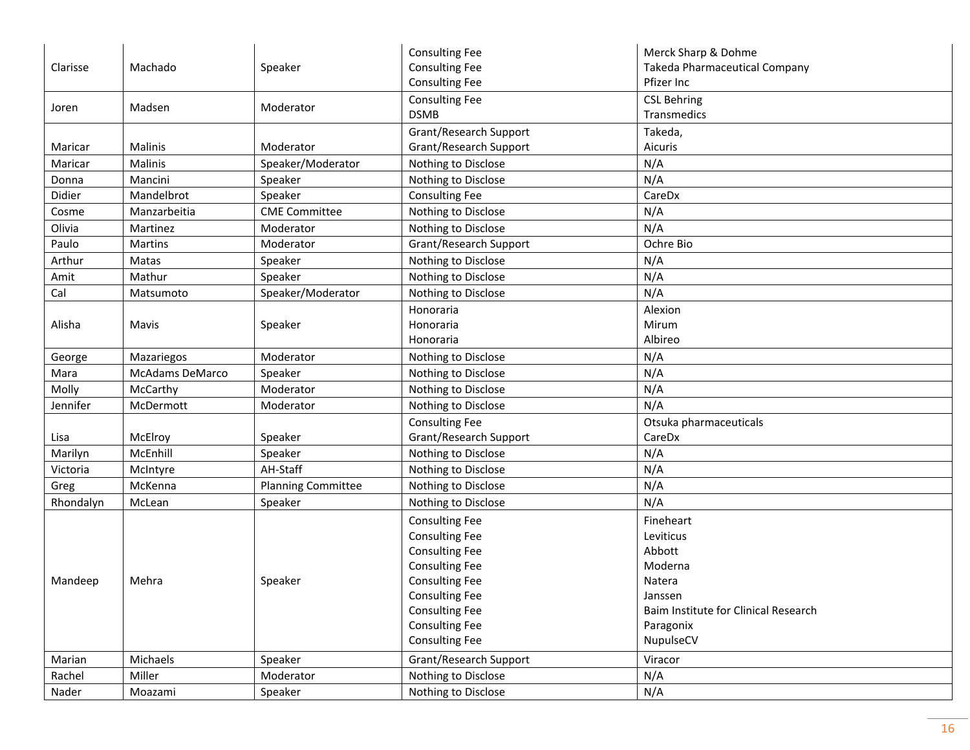| Clarisse  | Machado         | Speaker                   | <b>Consulting Fee</b><br><b>Consulting Fee</b><br><b>Consulting Fee</b> | Merck Sharp & Dohme<br><b>Takeda Pharmaceutical Company</b><br>Pfizer Inc |
|-----------|-----------------|---------------------------|-------------------------------------------------------------------------|---------------------------------------------------------------------------|
| Joren     | Madsen          | Moderator                 | <b>Consulting Fee</b><br><b>DSMB</b>                                    | <b>CSL Behring</b><br>Transmedics                                         |
| Maricar   | Malinis         | Moderator                 | Grant/Research Support<br>Grant/Research Support                        | Takeda,<br>Aicuris                                                        |
| Maricar   | Malinis         | Speaker/Moderator         | Nothing to Disclose                                                     | N/A                                                                       |
| Donna     | Mancini         | Speaker                   | Nothing to Disclose                                                     | N/A                                                                       |
| Didier    | Mandelbrot      | Speaker                   | <b>Consulting Fee</b>                                                   | CareDx                                                                    |
| Cosme     | Manzarbeitia    | <b>CME Committee</b>      | Nothing to Disclose                                                     | N/A                                                                       |
| Olivia    | Martinez        | Moderator                 | Nothing to Disclose                                                     | N/A                                                                       |
| Paulo     | Martins         | Moderator                 | Grant/Research Support                                                  | Ochre Bio                                                                 |
| Arthur    | Matas           | Speaker                   | Nothing to Disclose                                                     | N/A                                                                       |
| Amit      | Mathur          | Speaker                   | Nothing to Disclose                                                     | N/A                                                                       |
| Cal       | Matsumoto       | Speaker/Moderator         | Nothing to Disclose                                                     | N/A                                                                       |
|           |                 |                           | Honoraria                                                               | Alexion                                                                   |
| Alisha    | Mavis           | Speaker                   | Honoraria                                                               | Mirum                                                                     |
|           |                 |                           | Honoraria                                                               | Albireo                                                                   |
| George    | Mazariegos      | Moderator                 | Nothing to Disclose                                                     | N/A                                                                       |
| Mara      | McAdams DeMarco | Speaker                   | Nothing to Disclose                                                     | N/A                                                                       |
| Molly     | McCarthy        | Moderator                 | Nothing to Disclose                                                     | N/A                                                                       |
| Jennifer  | McDermott       | Moderator                 | Nothing to Disclose                                                     | N/A                                                                       |
|           |                 |                           | <b>Consulting Fee</b>                                                   | Otsuka pharmaceuticals                                                    |
| Lisa      | McElroy         | Speaker                   | Grant/Research Support                                                  | CareDx                                                                    |
| Marilyn   | McEnhill        | Speaker                   | Nothing to Disclose                                                     | N/A                                                                       |
| Victoria  | McIntyre        | AH-Staff                  | Nothing to Disclose                                                     | N/A                                                                       |
| Greg      | McKenna         | <b>Planning Committee</b> | Nothing to Disclose                                                     | N/A                                                                       |
| Rhondalyn | McLean          | Speaker                   | Nothing to Disclose                                                     | N/A                                                                       |
|           |                 |                           | <b>Consulting Fee</b><br><b>Consulting Fee</b>                          | Fineheart<br>Leviticus                                                    |
|           |                 |                           | <b>Consulting Fee</b>                                                   | Abbott                                                                    |
|           |                 |                           | <b>Consulting Fee</b>                                                   | Moderna                                                                   |
| Mandeep   | Mehra           | Speaker                   | <b>Consulting Fee</b>                                                   | Natera                                                                    |
|           |                 |                           | <b>Consulting Fee</b>                                                   | Janssen                                                                   |
|           |                 |                           | <b>Consulting Fee</b>                                                   | Baim Institute for Clinical Research                                      |
|           |                 |                           | <b>Consulting Fee</b>                                                   | Paragonix                                                                 |
|           |                 |                           | <b>Consulting Fee</b>                                                   | NupulseCV                                                                 |
| Marian    | Michaels        | Speaker                   | Grant/Research Support                                                  | Viracor                                                                   |
| Rachel    | Miller          | Moderator                 | Nothing to Disclose                                                     | N/A                                                                       |
| Nader     | Moazami         | Speaker                   | Nothing to Disclose                                                     | N/A                                                                       |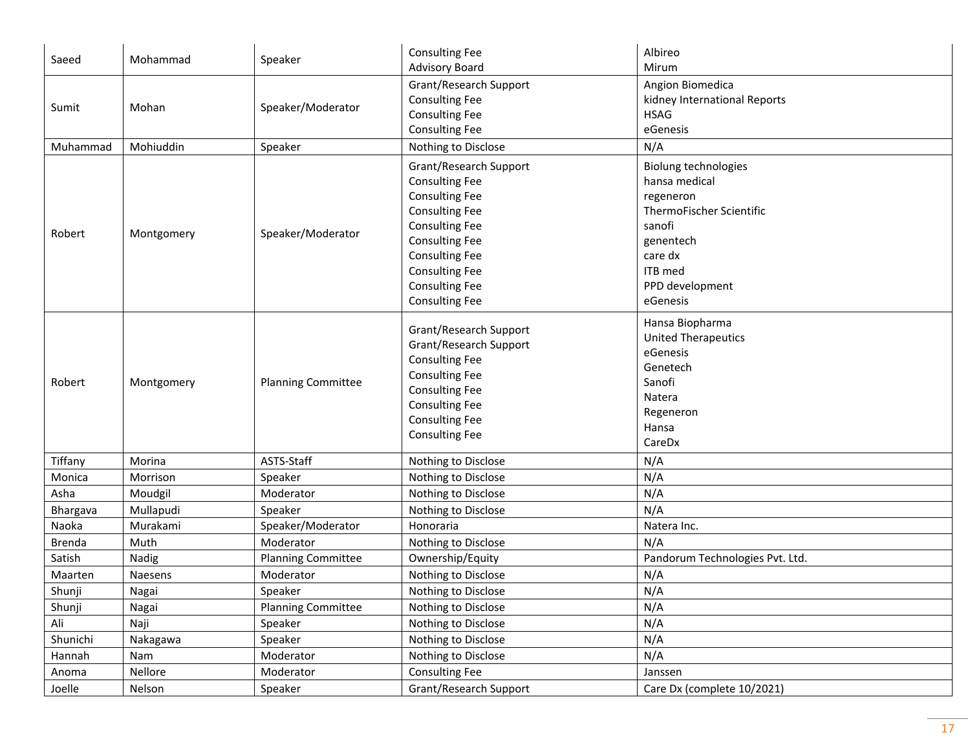| Saeed         | Mohammad   | Speaker                   | <b>Consulting Fee</b><br><b>Advisory Board</b>                                                                                                                                                                                                          | Albireo<br>Mirum                                                                                                                                                  |
|---------------|------------|---------------------------|---------------------------------------------------------------------------------------------------------------------------------------------------------------------------------------------------------------------------------------------------------|-------------------------------------------------------------------------------------------------------------------------------------------------------------------|
| Sumit         | Mohan      | Speaker/Moderator         | Grant/Research Support<br><b>Consulting Fee</b><br><b>Consulting Fee</b><br><b>Consulting Fee</b>                                                                                                                                                       | Angion Biomedica<br>kidney International Reports<br><b>HSAG</b><br>eGenesis                                                                                       |
| Muhammad      | Mohiuddin  | Speaker                   | Nothing to Disclose                                                                                                                                                                                                                                     | N/A                                                                                                                                                               |
| Robert        | Montgomery | Speaker/Moderator         | Grant/Research Support<br><b>Consulting Fee</b><br><b>Consulting Fee</b><br><b>Consulting Fee</b><br><b>Consulting Fee</b><br><b>Consulting Fee</b><br><b>Consulting Fee</b><br><b>Consulting Fee</b><br><b>Consulting Fee</b><br><b>Consulting Fee</b> | <b>Biolung technologies</b><br>hansa medical<br>regeneron<br>ThermoFischer Scientific<br>sanofi<br>genentech<br>care dx<br>ITB med<br>PPD development<br>eGenesis |
| Robert        | Montgomery | <b>Planning Committee</b> | Grant/Research Support<br>Grant/Research Support<br><b>Consulting Fee</b><br><b>Consulting Fee</b><br><b>Consulting Fee</b><br><b>Consulting Fee</b><br><b>Consulting Fee</b><br><b>Consulting Fee</b>                                                  | Hansa Biopharma<br><b>United Therapeutics</b><br>eGenesis<br>Genetech<br>Sanofi<br>Natera<br>Regeneron<br>Hansa<br>CareDx                                         |
| Tiffany       | Morina     | ASTS-Staff                | Nothing to Disclose                                                                                                                                                                                                                                     | N/A                                                                                                                                                               |
| Monica        | Morrison   | Speaker                   | Nothing to Disclose                                                                                                                                                                                                                                     | N/A                                                                                                                                                               |
| Asha          | Moudgil    | Moderator                 | Nothing to Disclose                                                                                                                                                                                                                                     | N/A                                                                                                                                                               |
| Bhargava      | Mullapudi  | Speaker                   | Nothing to Disclose                                                                                                                                                                                                                                     | N/A                                                                                                                                                               |
| Naoka         | Murakami   | Speaker/Moderator         | Honoraria                                                                                                                                                                                                                                               | Natera Inc.                                                                                                                                                       |
| <b>Brenda</b> | Muth       | Moderator                 | Nothing to Disclose                                                                                                                                                                                                                                     | N/A                                                                                                                                                               |
| Satish        | Nadig      | <b>Planning Committee</b> | Ownership/Equity                                                                                                                                                                                                                                        | Pandorum Technologies Pvt. Ltd.                                                                                                                                   |
| Maarten       | Naesens    | Moderator                 | Nothing to Disclose                                                                                                                                                                                                                                     | N/A                                                                                                                                                               |
| Shunji        | Nagai      | Speaker                   | Nothing to Disclose                                                                                                                                                                                                                                     | N/A                                                                                                                                                               |
| Shunji        | Nagai      | <b>Planning Committee</b> | Nothing to Disclose                                                                                                                                                                                                                                     | N/A                                                                                                                                                               |
| Ali           | Naji       | Speaker                   | Nothing to Disclose                                                                                                                                                                                                                                     | N/A                                                                                                                                                               |
| Shunichi      | Nakagawa   | Speaker                   | Nothing to Disclose                                                                                                                                                                                                                                     | N/A                                                                                                                                                               |
| Hannah        | Nam        | Moderator                 | Nothing to Disclose                                                                                                                                                                                                                                     | N/A                                                                                                                                                               |
| Anoma         | Nellore    | Moderator                 | <b>Consulting Fee</b>                                                                                                                                                                                                                                   | Janssen                                                                                                                                                           |
| Joelle        | Nelson     | Speaker                   | Grant/Research Support                                                                                                                                                                                                                                  | Care Dx (complete 10/2021)                                                                                                                                        |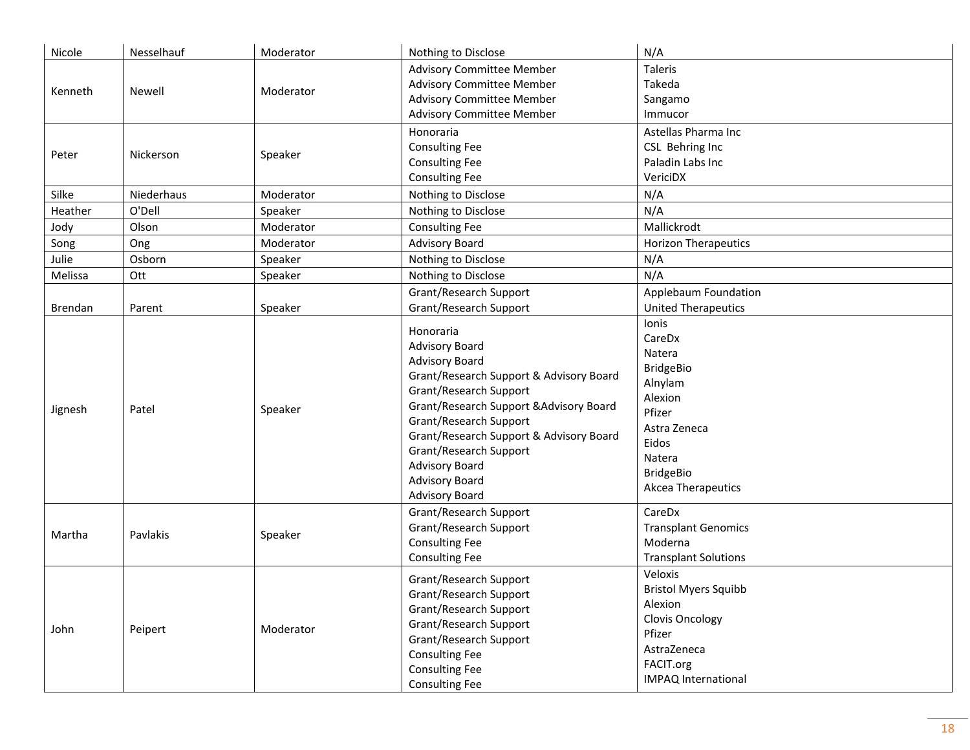| Nicole  | Nesselhauf | Moderator | Nothing to Disclose                                                                                                                                                                                                                                                                                                                                   | N/A                                                                                                                                                               |
|---------|------------|-----------|-------------------------------------------------------------------------------------------------------------------------------------------------------------------------------------------------------------------------------------------------------------------------------------------------------------------------------------------------------|-------------------------------------------------------------------------------------------------------------------------------------------------------------------|
| Kenneth | Newell     | Moderator | <b>Advisory Committee Member</b><br><b>Advisory Committee Member</b><br><b>Advisory Committee Member</b><br><b>Advisory Committee Member</b>                                                                                                                                                                                                          | Taleris<br>Takeda<br>Sangamo<br>Immucor                                                                                                                           |
| Peter   | Nickerson  | Speaker   | Honoraria<br><b>Consulting Fee</b><br><b>Consulting Fee</b><br><b>Consulting Fee</b>                                                                                                                                                                                                                                                                  | Astellas Pharma Inc<br>CSL Behring Inc<br>Paladin Labs Inc<br>VericiDX                                                                                            |
| Silke   | Niederhaus | Moderator | Nothing to Disclose                                                                                                                                                                                                                                                                                                                                   | N/A                                                                                                                                                               |
| Heather | O'Dell     | Speaker   | Nothing to Disclose                                                                                                                                                                                                                                                                                                                                   | N/A                                                                                                                                                               |
| Jody    | Olson      | Moderator | <b>Consulting Fee</b>                                                                                                                                                                                                                                                                                                                                 | Mallickrodt                                                                                                                                                       |
| Song    | Ong        | Moderator | <b>Advisory Board</b>                                                                                                                                                                                                                                                                                                                                 | <b>Horizon Therapeutics</b>                                                                                                                                       |
| Julie   | Osborn     | Speaker   | Nothing to Disclose                                                                                                                                                                                                                                                                                                                                   | N/A                                                                                                                                                               |
| Melissa | Ott        | Speaker   | Nothing to Disclose                                                                                                                                                                                                                                                                                                                                   | N/A                                                                                                                                                               |
| Brendan | Parent     | Speaker   | Grant/Research Support<br><b>Grant/Research Support</b>                                                                                                                                                                                                                                                                                               | Applebaum Foundation<br><b>United Therapeutics</b>                                                                                                                |
| Jignesh | Patel      | Speaker   | Honoraria<br><b>Advisory Board</b><br><b>Advisory Board</b><br>Grant/Research Support & Advisory Board<br>Grant/Research Support<br>Grant/Research Support & Advisory Board<br>Grant/Research Support<br>Grant/Research Support & Advisory Board<br>Grant/Research Support<br><b>Advisory Board</b><br><b>Advisory Board</b><br><b>Advisory Board</b> | <b>lonis</b><br>CareDx<br>Natera<br><b>BridgeBio</b><br>Alnylam<br>Alexion<br>Pfizer<br>Astra Zeneca<br>Eidos<br>Natera<br><b>BridgeBio</b><br>Akcea Therapeutics |
| Martha  | Pavlakis   | Speaker   | Grant/Research Support<br>Grant/Research Support<br><b>Consulting Fee</b><br><b>Consulting Fee</b>                                                                                                                                                                                                                                                    | CareDx<br><b>Transplant Genomics</b><br>Moderna<br><b>Transplant Solutions</b>                                                                                    |
| John    | Peipert    | Moderator | Grant/Research Support<br>Grant/Research Support<br>Grant/Research Support<br>Grant/Research Support<br>Grant/Research Support<br><b>Consulting Fee</b><br><b>Consulting Fee</b><br><b>Consulting Fee</b>                                                                                                                                             | Veloxis<br><b>Bristol Myers Squibb</b><br>Alexion<br><b>Clovis Oncology</b><br>Pfizer<br>AstraZeneca<br>FACIT.org<br><b>IMPAQ International</b>                   |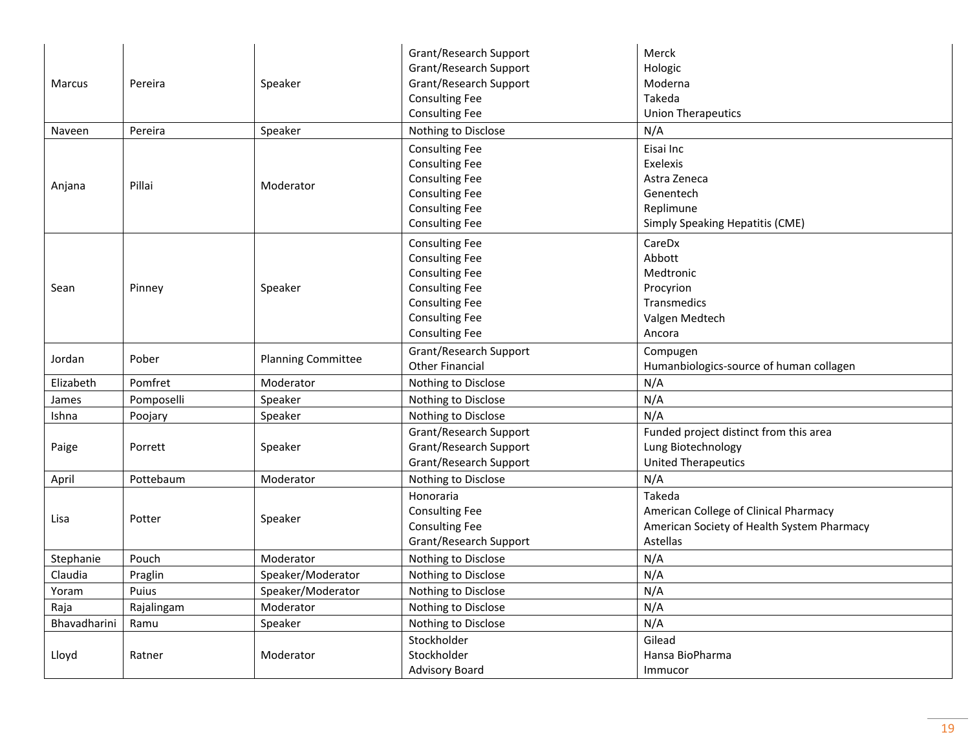|              |            |                           | Grant/Research Support<br>Grant/Research Support | Merck<br>Hologic                           |
|--------------|------------|---------------------------|--------------------------------------------------|--------------------------------------------|
| Marcus       | Pereira    | Speaker                   | Grant/Research Support                           | Moderna                                    |
|              |            |                           | <b>Consulting Fee</b>                            | Takeda                                     |
|              |            |                           | <b>Consulting Fee</b>                            | <b>Union Therapeutics</b>                  |
| Naveen       | Pereira    | Speaker                   | Nothing to Disclose                              | N/A                                        |
|              |            |                           | <b>Consulting Fee</b>                            | Eisai Inc                                  |
|              |            |                           | <b>Consulting Fee</b>                            | Exelexis                                   |
|              |            |                           | <b>Consulting Fee</b>                            | Astra Zeneca                               |
| Anjana       | Pillai     | Moderator                 | <b>Consulting Fee</b>                            | Genentech                                  |
|              |            |                           | <b>Consulting Fee</b>                            | Replimune                                  |
|              |            |                           | <b>Consulting Fee</b>                            | <b>Simply Speaking Hepatitis (CME)</b>     |
|              |            |                           | <b>Consulting Fee</b>                            | CareDx                                     |
|              |            |                           | <b>Consulting Fee</b>                            | Abbott                                     |
|              |            |                           | <b>Consulting Fee</b>                            | Medtronic                                  |
| Sean         | Pinney     | Speaker                   | <b>Consulting Fee</b>                            | Procyrion                                  |
|              |            |                           | <b>Consulting Fee</b>                            | Transmedics                                |
|              |            |                           | <b>Consulting Fee</b>                            | Valgen Medtech                             |
|              |            |                           | <b>Consulting Fee</b>                            | Ancora                                     |
| Jordan       | Pober      | <b>Planning Committee</b> | Grant/Research Support                           | Compugen                                   |
|              |            |                           | <b>Other Financial</b>                           | Humanbiologics-source of human collagen    |
| Elizabeth    | Pomfret    | Moderator                 | Nothing to Disclose                              | N/A                                        |
| James        | Pomposelli | Speaker                   | Nothing to Disclose                              | N/A                                        |
| Ishna        | Poojary    | Speaker                   | Nothing to Disclose                              | N/A                                        |
|              |            |                           | Grant/Research Support                           | Funded project distinct from this area     |
| Paige        | Porrett    | Speaker                   | Grant/Research Support                           | Lung Biotechnology                         |
|              |            |                           | Grant/Research Support                           | <b>United Therapeutics</b>                 |
| April        | Pottebaum  | Moderator                 | Nothing to Disclose                              | N/A                                        |
|              |            |                           | Honoraria                                        | Takeda                                     |
| Lisa         | Potter     | Speaker                   | <b>Consulting Fee</b>                            | American College of Clinical Pharmacy      |
|              |            |                           | <b>Consulting Fee</b>                            | American Society of Health System Pharmacy |
|              |            |                           | Grant/Research Support                           | Astellas                                   |
| Stephanie    | Pouch      | Moderator                 | Nothing to Disclose                              | N/A                                        |
| Claudia      | Praglin    | Speaker/Moderator         | Nothing to Disclose                              | N/A                                        |
| Yoram        | Puius      | Speaker/Moderator         | Nothing to Disclose                              | N/A                                        |
| Raja         | Rajalingam | Moderator                 | Nothing to Disclose                              | N/A                                        |
| Bhavadharini | Ramu       | Speaker                   | Nothing to Disclose                              | N/A                                        |
|              |            |                           | Stockholder                                      | Gilead                                     |
| Lloyd        | Ratner     | Moderator                 | Stockholder                                      | Hansa BioPharma                            |
|              |            |                           | <b>Advisory Board</b>                            | Immucor                                    |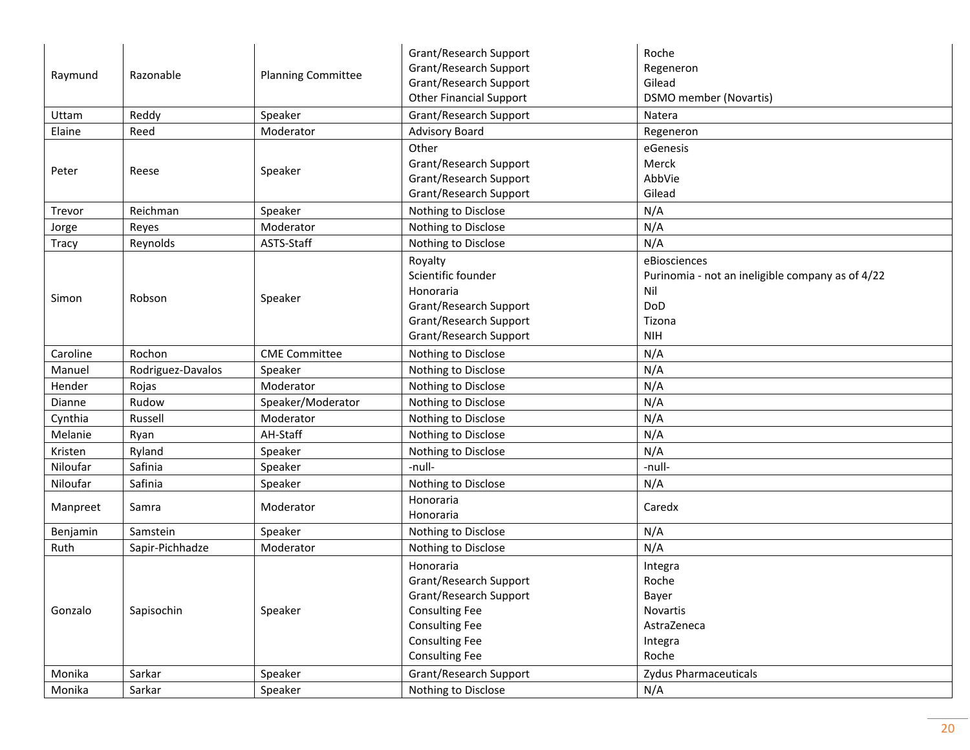|              |                   |                           | Grant/Research Support         | Roche                                            |
|--------------|-------------------|---------------------------|--------------------------------|--------------------------------------------------|
| Raymund      | Razonable         | <b>Planning Committee</b> | <b>Grant/Research Support</b>  | Regeneron                                        |
|              |                   |                           | Grant/Research Support         | Gilead                                           |
|              |                   |                           | <b>Other Financial Support</b> | <b>DSMO</b> member (Novartis)                    |
| Uttam        | Reddy             | Speaker                   | Grant/Research Support         | Natera                                           |
| Elaine       | Reed              | Moderator                 | <b>Advisory Board</b>          | Regeneron                                        |
|              |                   |                           | Other                          | eGenesis                                         |
|              |                   |                           | Grant/Research Support         | Merck                                            |
| Peter        | Reese             | Speaker                   | Grant/Research Support         | AbbVie                                           |
|              |                   |                           | Grant/Research Support         | Gilead                                           |
| Trevor       | Reichman          | Speaker                   | Nothing to Disclose            | N/A                                              |
| Jorge        | Reyes             | Moderator                 | Nothing to Disclose            | N/A                                              |
| <b>Tracy</b> | Reynolds          | ASTS-Staff                | Nothing to Disclose            | N/A                                              |
|              |                   |                           | Royalty                        | eBiosciences                                     |
|              |                   |                           | Scientific founder             | Purinomia - not an ineligible company as of 4/22 |
|              | Robson            |                           | Honoraria                      | Nil                                              |
| Simon        |                   | Speaker                   | Grant/Research Support         | DoD                                              |
|              |                   |                           | Grant/Research Support         | Tizona                                           |
|              |                   |                           | Grant/Research Support         | <b>NIH</b>                                       |
| Caroline     | Rochon            | <b>CME Committee</b>      | Nothing to Disclose            | N/A                                              |
| Manuel       | Rodriguez-Davalos | Speaker                   | Nothing to Disclose            | N/A                                              |
| Hender       | Rojas             | Moderator                 | Nothing to Disclose            | N/A                                              |
| Dianne       | Rudow             | Speaker/Moderator         | Nothing to Disclose            | N/A                                              |
| Cynthia      | Russell           | Moderator                 | Nothing to Disclose            | N/A                                              |
| Melanie      | Ryan              | AH-Staff                  | Nothing to Disclose            | N/A                                              |
| Kristen      | Ryland            | Speaker                   | Nothing to Disclose            | N/A                                              |
| Niloufar     | Safinia           | Speaker                   | -null-                         | -null-                                           |
| Niloufar     | Safinia           | Speaker                   | Nothing to Disclose            | N/A                                              |
| Manpreet     | Samra             | Moderator                 | Honoraria                      | Caredx                                           |
|              |                   |                           | Honoraria                      |                                                  |
| Benjamin     | Samstein          | Speaker                   | Nothing to Disclose            | N/A                                              |
| Ruth         | Sapir-Pichhadze   | Moderator                 | Nothing to Disclose            | N/A                                              |
|              |                   |                           | Honoraria                      | Integra                                          |
|              |                   |                           | Grant/Research Support         | Roche                                            |
|              |                   |                           | Grant/Research Support         | Bayer                                            |
| Gonzalo      | Sapisochin        | Speaker                   | <b>Consulting Fee</b>          | Novartis                                         |
|              |                   |                           | <b>Consulting Fee</b>          | AstraZeneca                                      |
|              |                   |                           | <b>Consulting Fee</b>          | Integra                                          |
|              |                   |                           | <b>Consulting Fee</b>          | Roche                                            |
| Monika       | Sarkar            | Speaker                   | Grant/Research Support         | <b>Zydus Pharmaceuticals</b>                     |
| Monika       | Sarkar            | Speaker                   | Nothing to Disclose            | N/A                                              |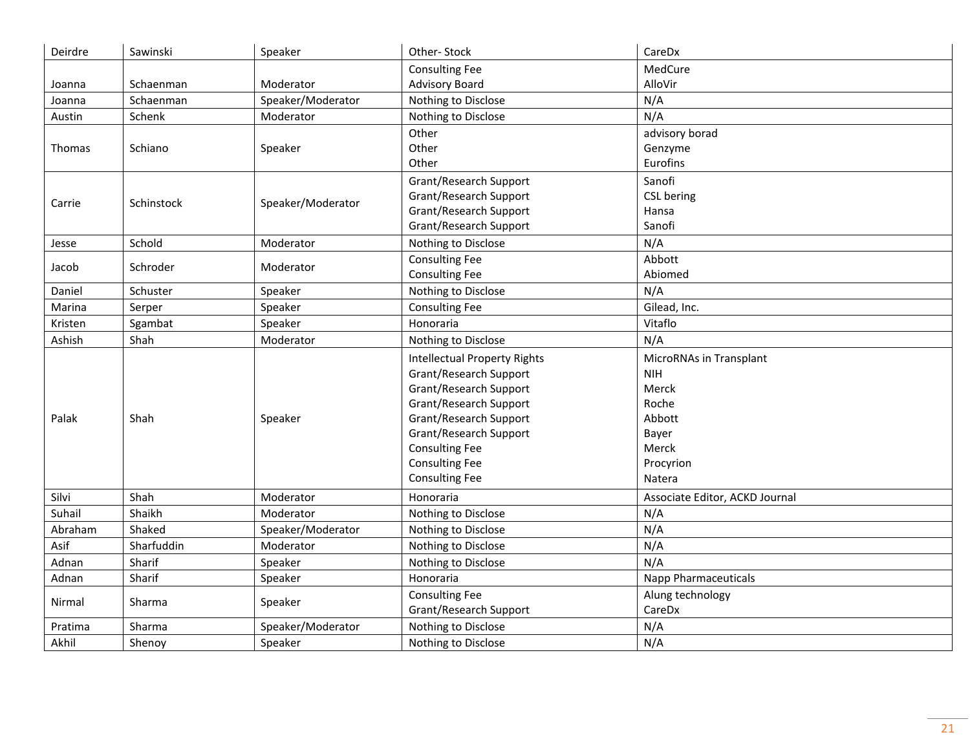| Deirdre       | Sawinski   | Speaker           | Other-Stock                         | CareDx                         |
|---------------|------------|-------------------|-------------------------------------|--------------------------------|
|               |            |                   | <b>Consulting Fee</b>               | MedCure                        |
| Joanna        | Schaenman  | Moderator         | <b>Advisory Board</b>               | AlloVir                        |
| Joanna        | Schaenman  | Speaker/Moderator | Nothing to Disclose                 | N/A                            |
| Austin        | Schenk     | Moderator         | Nothing to Disclose                 | N/A                            |
|               |            |                   | Other                               | advisory borad                 |
| <b>Thomas</b> | Schiano    | Speaker           | Other                               | Genzyme                        |
|               |            |                   | Other                               | Eurofins                       |
|               |            |                   | Grant/Research Support              | Sanofi                         |
|               |            |                   | Grant/Research Support              | CSL bering                     |
| Carrie        | Schinstock | Speaker/Moderator | Grant/Research Support              | Hansa                          |
|               |            |                   | Grant/Research Support              | Sanofi                         |
| Jesse         | Schold     | Moderator         | Nothing to Disclose                 | N/A                            |
| Jacob         | Schroder   | Moderator         | <b>Consulting Fee</b>               | Abbott                         |
|               |            |                   | <b>Consulting Fee</b>               | Abiomed                        |
| Daniel        | Schuster   | Speaker           | Nothing to Disclose                 | N/A                            |
| Marina        | Serper     | Speaker           | <b>Consulting Fee</b>               | Gilead, Inc.                   |
| Kristen       | Sgambat    | Speaker           | Honoraria                           | Vitaflo                        |
| Ashish        | Shah       | Moderator         | Nothing to Disclose                 | N/A                            |
|               |            |                   | <b>Intellectual Property Rights</b> | MicroRNAs in Transplant        |
|               |            |                   | Grant/Research Support              | <b>NIH</b>                     |
|               |            |                   | Grant/Research Support              | Merck                          |
|               |            |                   | Grant/Research Support              | Roche                          |
| Palak         | Shah       | Speaker           | Grant/Research Support              | Abbott                         |
|               |            |                   | Grant/Research Support              | Bayer                          |
|               |            |                   | <b>Consulting Fee</b>               | Merck                          |
|               |            |                   | <b>Consulting Fee</b>               | Procyrion                      |
|               |            |                   | <b>Consulting Fee</b>               | Natera                         |
| Silvi         | Shah       | Moderator         | Honoraria                           | Associate Editor, ACKD Journal |
| Suhail        | Shaikh     | Moderator         | Nothing to Disclose                 | N/A                            |
| Abraham       | Shaked     | Speaker/Moderator | Nothing to Disclose                 | N/A                            |
| Asif          | Sharfuddin | Moderator         | Nothing to Disclose                 | N/A                            |
| Adnan         | Sharif     | Speaker           | Nothing to Disclose                 | N/A                            |
| Adnan         | Sharif     | Speaker           | Honoraria                           | <b>Napp Pharmaceuticals</b>    |
|               |            |                   | <b>Consulting Fee</b>               | Alung technology               |
| Nirmal        | Sharma     | Speaker           | Grant/Research Support              | CareDx                         |
| Pratima       | Sharma     | Speaker/Moderator | Nothing to Disclose                 | N/A                            |
| Akhil         | Shenoy     | Speaker           | Nothing to Disclose                 | N/A                            |
|               |            |                   |                                     |                                |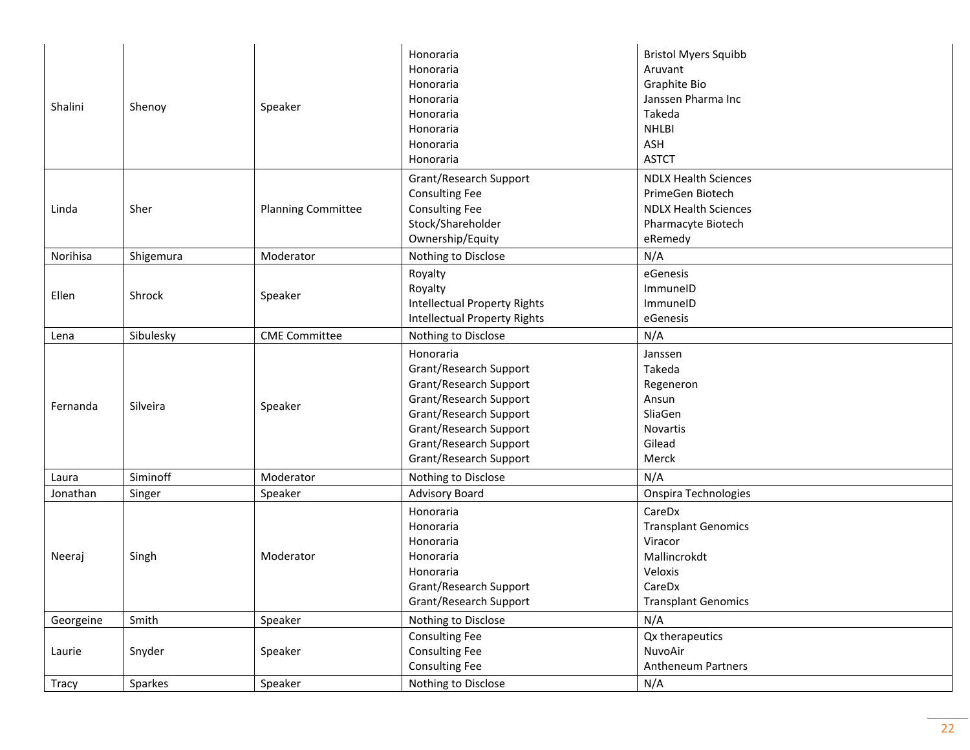| Shalini   | Shenoy    | Speaker                   | Honoraria<br>Honoraria<br>Honoraria<br>Honoraria<br>Honoraria<br>Honoraria<br>Honoraria<br>Honoraria                                                                                            | <b>Bristol Myers Squibb</b><br>Aruvant<br>Graphite Bio<br>Janssen Pharma Inc<br>Takeda<br><b>NHLBI</b><br>ASH<br><b>ASTCT</b> |
|-----------|-----------|---------------------------|-------------------------------------------------------------------------------------------------------------------------------------------------------------------------------------------------|-------------------------------------------------------------------------------------------------------------------------------|
| Linda     | Sher      | <b>Planning Committee</b> | Grant/Research Support<br><b>Consulting Fee</b><br><b>Consulting Fee</b><br>Stock/Shareholder<br>Ownership/Equity                                                                               | <b>NDLX Health Sciences</b><br>PrimeGen Biotech<br><b>NDLX Health Sciences</b><br>Pharmacyte Biotech<br>eRemedy               |
| Norihisa  | Shigemura | Moderator                 | Nothing to Disclose                                                                                                                                                                             | N/A                                                                                                                           |
| Ellen     | Shrock    | Speaker                   | Royalty<br>Royalty<br><b>Intellectual Property Rights</b><br><b>Intellectual Property Rights</b>                                                                                                | eGenesis<br>ImmuneID<br>ImmuneID<br>eGenesis                                                                                  |
| Lena      | Sibulesky | <b>CME Committee</b>      | Nothing to Disclose                                                                                                                                                                             | N/A                                                                                                                           |
| Fernanda  | Silveira  | Speaker                   | Honoraria<br>Grant/Research Support<br>Grant/Research Support<br>Grant/Research Support<br>Grant/Research Support<br>Grant/Research Support<br>Grant/Research Support<br>Grant/Research Support | Janssen<br>Takeda<br>Regeneron<br>Ansun<br>SliaGen<br>Novartis<br>Gilead<br>Merck                                             |
| Laura     | Siminoff  | Moderator                 | Nothing to Disclose                                                                                                                                                                             | N/A                                                                                                                           |
| Jonathan  | Singer    | Speaker                   | <b>Advisory Board</b>                                                                                                                                                                           | Onspira Technologies                                                                                                          |
| Neeraj    | Singh     | Moderator                 | Honoraria<br>Honoraria<br>Honoraria<br>Honoraria<br>Honoraria<br>Grant/Research Support<br>Grant/Research Support                                                                               | CareDx<br><b>Transplant Genomics</b><br>Viracor<br>Mallincrokdt<br>Veloxis<br>CareDx<br><b>Transplant Genomics</b>            |
| Georgeine | Smith     | Speaker                   | Nothing to Disclose                                                                                                                                                                             | N/A                                                                                                                           |
| Laurie    | Snyder    | Speaker                   | <b>Consulting Fee</b><br><b>Consulting Fee</b><br><b>Consulting Fee</b>                                                                                                                         | Qx therapeutics<br>NuvoAir<br>Antheneum Partners                                                                              |
| Tracy     | Sparkes   | Speaker                   | Nothing to Disclose                                                                                                                                                                             | N/A                                                                                                                           |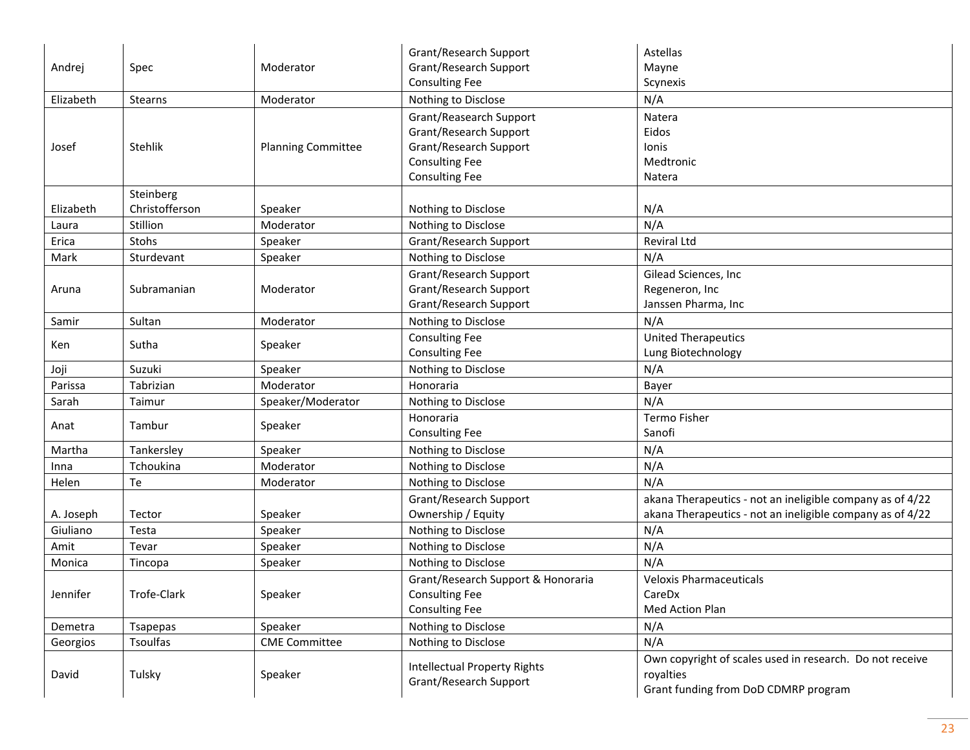| Andrej    | Spec                        | Moderator                 | Grant/Research Support<br>Grant/Research Support<br><b>Consulting Fee</b>                                                     | Astellas<br>Mayne<br>Scynexis                                                                                          |
|-----------|-----------------------------|---------------------------|-------------------------------------------------------------------------------------------------------------------------------|------------------------------------------------------------------------------------------------------------------------|
| Elizabeth | Stearns                     | Moderator                 | Nothing to Disclose                                                                                                           | N/A                                                                                                                    |
| Josef     | Stehlik                     | <b>Planning Committee</b> | Grant/Reasearch Support<br>Grant/Research Support<br>Grant/Research Support<br><b>Consulting Fee</b><br><b>Consulting Fee</b> | Natera<br>Eidos<br>Ionis<br>Medtronic<br>Natera                                                                        |
| Elizabeth | Steinberg<br>Christofferson | Speaker                   | Nothing to Disclose                                                                                                           | N/A                                                                                                                    |
| Laura     | Stillion                    | Moderator                 | Nothing to Disclose                                                                                                           | N/A                                                                                                                    |
| Erica     | Stohs                       | Speaker                   | Grant/Research Support                                                                                                        | <b>Reviral Ltd</b>                                                                                                     |
| Mark      | Sturdevant                  | Speaker                   | Nothing to Disclose                                                                                                           | N/A                                                                                                                    |
| Aruna     | Subramanian                 | Moderator                 | Grant/Research Support<br>Grant/Research Support<br>Grant/Research Support                                                    | Gilead Sciences, Inc<br>Regeneron, Inc<br>Janssen Pharma, Inc                                                          |
| Samir     | Sultan                      | Moderator                 | Nothing to Disclose                                                                                                           | N/A                                                                                                                    |
| Ken       | Sutha                       | Speaker                   | <b>Consulting Fee</b><br><b>Consulting Fee</b>                                                                                | <b>United Therapeutics</b><br>Lung Biotechnology                                                                       |
| Joji      | Suzuki                      | Speaker                   | Nothing to Disclose                                                                                                           | N/A                                                                                                                    |
| Parissa   | Tabrizian                   | Moderator                 | Honoraria                                                                                                                     | Bayer                                                                                                                  |
| Sarah     | Taimur                      | Speaker/Moderator         | Nothing to Disclose                                                                                                           | N/A                                                                                                                    |
| Anat      | Tambur                      | Speaker                   | Honoraria<br><b>Consulting Fee</b>                                                                                            | Termo Fisher<br>Sanofi                                                                                                 |
| Martha    | Tankersley                  | Speaker                   | Nothing to Disclose                                                                                                           | N/A                                                                                                                    |
| Inna      | Tchoukina                   | Moderator                 | Nothing to Disclose                                                                                                           | N/A                                                                                                                    |
| Helen     | Te                          | Moderator                 | Nothing to Disclose                                                                                                           | N/A                                                                                                                    |
| A. Joseph | Tector                      | Speaker                   | Grant/Research Support<br>Ownership / Equity                                                                                  | akana Therapeutics - not an ineligible company as of 4/22<br>akana Therapeutics - not an ineligible company as of 4/22 |
| Giuliano  | Testa                       | Speaker                   | Nothing to Disclose                                                                                                           | N/A                                                                                                                    |
| Amit      | Tevar                       | Speaker                   | Nothing to Disclose                                                                                                           | N/A                                                                                                                    |
| Monica    | Tincopa                     | Speaker                   | Nothing to Disclose                                                                                                           | N/A                                                                                                                    |
| Jennifer  | Trofe-Clark                 | Speaker                   | Grant/Research Support & Honoraria<br><b>Consulting Fee</b><br><b>Consulting Fee</b>                                          | <b>Veloxis Pharmaceuticals</b><br>CareDx<br>Med Action Plan                                                            |
| Demetra   | Tsapepas                    | Speaker                   | Nothing to Disclose                                                                                                           | N/A                                                                                                                    |
| Georgios  | <b>Tsoulfas</b>             | <b>CME Committee</b>      | Nothing to Disclose                                                                                                           | N/A                                                                                                                    |
| David     | Tulsky                      | Speaker                   | <b>Intellectual Property Rights</b><br>Grant/Research Support                                                                 | Own copyright of scales used in research. Do not receive<br>royalties<br>Grant funding from DoD CDMRP program          |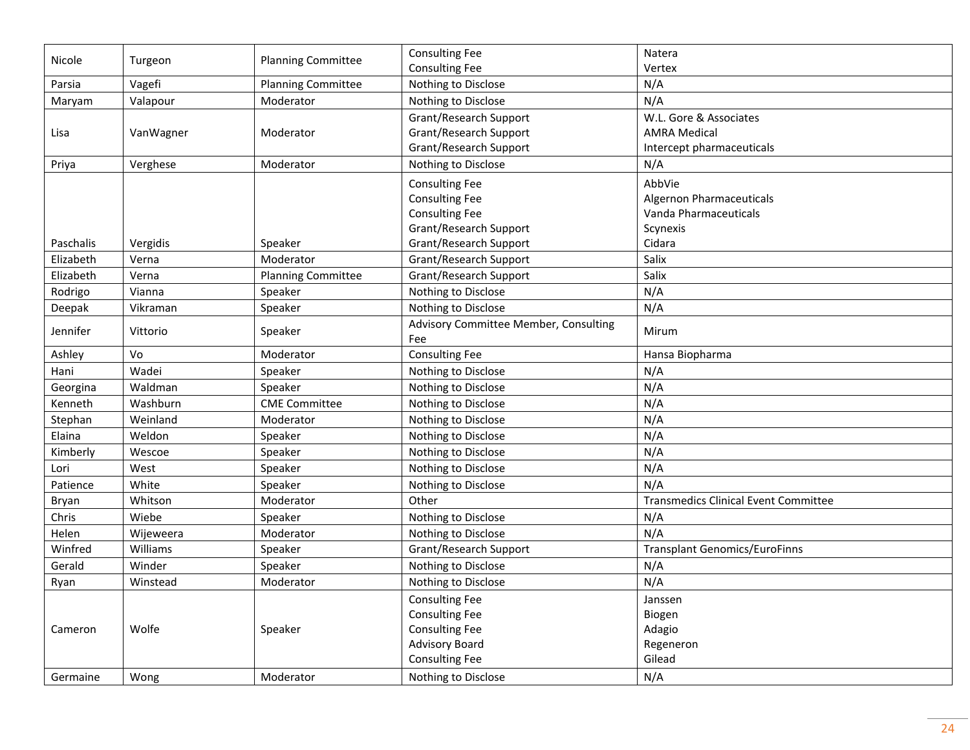| Nicole    |           | <b>Planning Committee</b> | <b>Consulting Fee</b>                        | Natera                                      |
|-----------|-----------|---------------------------|----------------------------------------------|---------------------------------------------|
|           | Turgeon   |                           | <b>Consulting Fee</b>                        | Vertex                                      |
| Parsia    | Vagefi    | <b>Planning Committee</b> | Nothing to Disclose                          | N/A                                         |
| Maryam    | Valapour  | Moderator                 | Nothing to Disclose                          | N/A                                         |
|           |           |                           | Grant/Research Support                       | W.L. Gore & Associates                      |
| Lisa      | VanWagner | Moderator                 | Grant/Research Support                       | <b>AMRA Medical</b>                         |
|           |           |                           | Grant/Research Support                       | Intercept pharmaceuticals                   |
| Priya     | Verghese  | Moderator                 | Nothing to Disclose                          | N/A                                         |
|           |           |                           | <b>Consulting Fee</b>                        | AbbVie                                      |
|           |           |                           | <b>Consulting Fee</b>                        | <b>Algernon Pharmaceuticals</b>             |
|           |           |                           | <b>Consulting Fee</b>                        | Vanda Pharmaceuticals                       |
|           |           |                           | Grant/Research Support                       | Scynexis                                    |
| Paschalis | Vergidis  | Speaker                   | Grant/Research Support                       | Cidara                                      |
| Elizabeth | Verna     | Moderator                 | Grant/Research Support                       | Salix                                       |
| Elizabeth | Verna     | <b>Planning Committee</b> | Grant/Research Support                       | Salix                                       |
| Rodrigo   | Vianna    | Speaker                   | Nothing to Disclose                          | N/A                                         |
| Deepak    | Vikraman  | Speaker                   | Nothing to Disclose                          | N/A                                         |
| Jennifer  | Vittorio  | Speaker                   | Advisory Committee Member, Consulting<br>Fee | Mirum                                       |
| Ashley    | Vo        | Moderator                 | <b>Consulting Fee</b>                        | Hansa Biopharma                             |
| Hani      | Wadei     | Speaker                   | Nothing to Disclose                          | N/A                                         |
| Georgina  | Waldman   | Speaker                   | Nothing to Disclose                          | N/A                                         |
| Kenneth   | Washburn  | <b>CME Committee</b>      | Nothing to Disclose                          | N/A                                         |
| Stephan   | Weinland  | Moderator                 | Nothing to Disclose                          | N/A                                         |
| Elaina    | Weldon    | Speaker                   | Nothing to Disclose                          | N/A                                         |
| Kimberly  | Wescoe    | Speaker                   | Nothing to Disclose                          | N/A                                         |
| Lori      | West      | Speaker                   | Nothing to Disclose                          | N/A                                         |
| Patience  | White     | Speaker                   | Nothing to Disclose                          | N/A                                         |
| Bryan     | Whitson   | Moderator                 | Other                                        | <b>Transmedics Clinical Event Committee</b> |
| Chris     | Wiebe     | Speaker                   | Nothing to Disclose                          | N/A                                         |
| Helen     | Wijeweera | Moderator                 | Nothing to Disclose                          | N/A                                         |
| Winfred   | Williams  | Speaker                   | Grant/Research Support                       | <b>Transplant Genomics/EuroFinns</b>        |
| Gerald    | Winder    | Speaker                   | Nothing to Disclose                          | N/A                                         |
| Ryan      | Winstead  | Moderator                 | Nothing to Disclose                          | N/A                                         |
|           |           |                           | <b>Consulting Fee</b>                        | Janssen                                     |
|           |           |                           | <b>Consulting Fee</b>                        | Biogen                                      |
| Cameron   | Wolfe     | Speaker                   | <b>Consulting Fee</b>                        | Adagio                                      |
|           |           |                           | <b>Advisory Board</b>                        | Regeneron                                   |
|           |           |                           | <b>Consulting Fee</b>                        | Gilead                                      |
| Germaine  | Wong      | Moderator                 | Nothing to Disclose                          | N/A                                         |